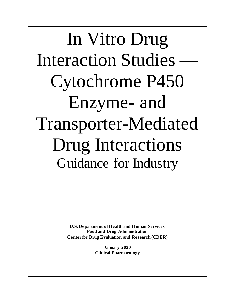In Vitro Drug Interaction Studies -Cytochrome P450 Enzyme- and Transporter-Mediated Drug Interactions Guidance for Industry

> **U.S. Department of Health and Human Services Food and Drug Administration Center for Drug Evaluation and Research (CDER)**

> > **January 2020 Clinical Pharmacology**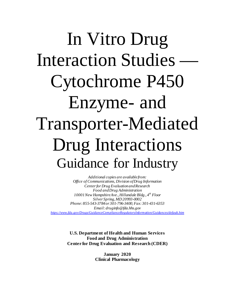# In Vitro Drug Interaction Studies — Cytochrome P450 Enzyme- and Transporter-Mediated Drug Interactions Guidance for Industry

*Additional copies are available from: Office of Communications, Division of Drug Information Center for Drug Evaluation and Research Food and Drug Administration 10001New Hampshire Ave., Hillandale Bldg., 4th Floor Silver Spring, MD 20993-0002 Phone: 855-543-3784 or 301-796-3400; Fax: 301-431-6353 Email: druginfo@fda.hhs.gov <https://www.fda.gov/Drugs/GuidanceComplianceRegulatoryInformation/Guidances/default.htm>*

> **U.S. Department of Health and Human Services Food and Drug Administration Center for Drug Evaluation and Research (CDER)**

> > **January 2020 Clinical Pharmacology**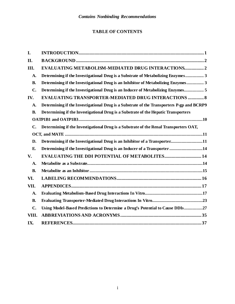# **TABLE OF CONTENTS**

| I.             |                                                                                           |  |
|----------------|-------------------------------------------------------------------------------------------|--|
| II.            |                                                                                           |  |
| Ш.             | <b>EVALUATING METABOLISM-MEDIATED DRUG INTERACTIONS 2</b>                                 |  |
| A.             | Determining if the Investigational Drug is a Substrate of Metabolizing Enzymes 3          |  |
| <b>B.</b>      | Determining if the Investigational Drug is an Inhibitor of Metabolizing Enzymes 3         |  |
| $\mathbf{C}$ . | Determining if the Investigational Drug is an Inducer of Metabolizing Enzymes 5           |  |
| IV.            | <b>EVALUATING TRANSPORTER-MEDIATED DRUG INTERACTIONS  8</b>                               |  |
| A.             | Determining if the Investigational Drug is a Substrate of the Transporters P-gp and BCRP9 |  |
| <b>B.</b>      | Determining if the Investigational Drug is a Substrate of the Hepatic Transporters        |  |
|                |                                                                                           |  |
| C.             | Determining if the Investigational Drug is a Substrate of the Renal Transporters OAT,     |  |
|                |                                                                                           |  |
| D.             | Determining if the Investigational Drug is an Inhibitor of a Transporter11                |  |
| E.             | Determining if the Investigational Drug is an Inducer of a Transporter14                  |  |
| V.             | <b>EVALUATING THE DDI POTENTIAL OF METABOLITES 14</b>                                     |  |
| A.             |                                                                                           |  |
| <b>B.</b>      |                                                                                           |  |
| VI.            |                                                                                           |  |
| VII.           |                                                                                           |  |
| A.             |                                                                                           |  |
| <b>B.</b>      |                                                                                           |  |
| $\mathbf{C}$ . | Using Model-Based Predictions to Determine a Drug's Potential to Cause DDIs27             |  |
| VIII.          |                                                                                           |  |
| IX.            |                                                                                           |  |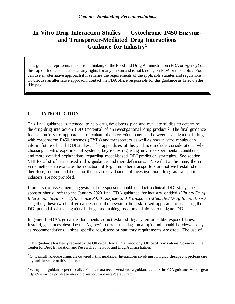# **In Vitro Drug Interaction Studies — Cytochrome P450 Enzymeand Transporter-Mediated Drug Interactions Guidance for Industry[1](#page-3-1)**

This guidance represents the current thinking of the Food and Drug Administration (FDA or Agency) on this topic. It does not establish any rights for any person and is not binding on FDA or the public. You can use an alternative approach if it satisfies the requirements of the applicable statutes and regulations. To discuss an alternative approach, contact the FDA office responsible for this guidance as listed on the title page.

# <span id="page-3-0"></span>**I. INTRODUCTION**

This final guidance is intended to help drug developers plan and evaluate studies to determine the drug-drug interaction (DDI) potential of an investigational drug product.<sup>2</sup> The final guidance focuses on in vitro approaches to evaluate the interaction potential between investigational drugs with cytochrome P450 enzymes (CYPs) and transporters as well as how in vitro results can inform future clinical DDI studies. The appendices of this guidance include considerations when choosing in vitro experimental systems, key issues regarding in vitro experimental conditions, and more detailed explanations regarding model-based DDI prediction strategies. See section VIII for a list of terms used in this guidance and their definitions. Note that at this time, the in vitro methods to evaluate the induction of P-gp and other transporters are not well established; therefore, recommendations for the in vitro evaluation of investigational drugs as transporter inducers are not provided.

If an in vitro assessment suggests that the sponsor should conduct a clinical DDI study, the sponsor should refer to the January 2020 final FDA guidance for industry entitled *Clinical Drug Interaction Studies —Cytochrome P450 Enzyme- and Transporter-Mediated Drug Interactions.*[3](#page-3-3) Together, these two final guidances describe a systematic, risk-based approach to assessing the DDI potential of investigational drugs and making recommendations to mitigate DDIs*.*

In general, FDA's guidance documents do not establish legally enforceable responsibilities. Instead, guidances describe the Agency's current thinking on a topic and should be viewed only as recommendations, unless specific regulatory or statutory requirements are cited. The use of

<span id="page-3-1"></span><sup>&</sup>lt;sup>1</sup> This guidance has been prepared by the Office of Clinical Pharmacology, Office of Translational Sciences in the Center for Drug Evaluation and Research at the Food and Drug Administration.

<span id="page-3-2"></span> $2$  Only small molecule drugs are covered in this guidance. Interactions involving biologics (therapeutic proteins) are beyond the scope of this guidance.

<span id="page-3-3"></span><sup>&</sup>lt;sup>3</sup> We update guidances periodically. For the most recent version of a guidance, check the FDA guidance web page at https://www.fda.gov/RegulatoryInformation/Guidances/default.htm.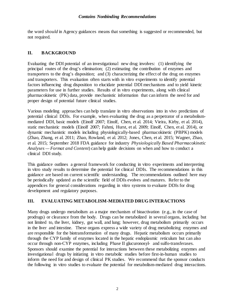the word *should* in Agency guidances means that something is suggested or recommended, but not required.

# <span id="page-4-0"></span>**II. BACKGROUND**

Evaluating the DDI potential of an investigational new drug involves: (1) identifying the principal routes of the drug's elimination; (2) estimating the contribution of enzymes and transporters to the drug's disposition; and (3) characterizing the effect of the drug on enzymes and transporters. This evaluation often starts with in vitro experiments to identify potential factors influencing drug disposition to elucidate potential DDI mechanisms and to yield kinetic parameters for use in further studies. Results of in vitro experiments, along with clinical pharmacokinetic (PK) data, provide mechanistic information that can inform the need for and proper design of potential future clinical studies.

Various modeling approaches can help translate in vitro observations into in vivo predictions of potential clinical DDIs. For example, when evaluating the drug as a perpetrator of a metabolismmediated DDI, basic models (Einolf 2007; Einolf, Chen, et al. 2014; Vieira, Kirby, et al. 2014), static mechanistic models (Einolf 2007; Fahmi, Hurst, et al. 2009; Einolf, Chen, et al. 2014), or dynamic mechanistic models including physiologically-based pharmacokinetic (PBPK) models (Zhao, Zhang, et al. 2011; Zhao, Rowland, et al. 2012; Jones, Chen, et al. 2015; Wagner, Zhao, et al. 2015; September 2018 FDA guidance for industry *Physiologically Based Pharmacokinetic Analyses — Format and Content*) can help guide decisions on when and how to conduct a clinical DDI study.

This guidance outlines a general framework for conducting in vitro experiments and interpreting in vitro study results to determine the potential for clinical DDIs. The recommendations in this guidance are based on current scientific understanding. The recommendations outlined here may be periodically updated as the scientific field of DDIs evolves and matures. Refer to the appendices for general considerations regarding in vitro systems to evaluate DDIs for drug development and regulatory purposes.

### <span id="page-4-1"></span>**III. EVALUATING METABOLISM-MEDIATED DRUG INTERACTIONS**

Many drugs undergo metabolism as a major mechanism of bioactivation (e.g., in the case of prodrugs) or clearance from the body. Drugs can be metabolized in several organs, including but not limited to, the liver, kidney, gut wall, and lung; however, drug metabolism primarily occurs in the liver and intestine. These organs express a wide variety of drug metabolizing enzymes and are responsible for the biotransformation of many drugs. Hepatic metabolism occurs primarily through the CYP family of enzymes located in the hepatic endoplasmic reticulum but can also occur through non-CYP enzymes, including Phase II glucuronosyl- and sulfo-transferases. Sponsors should examine the potential for interactions between these metabolizing enzymes and investigational drugs by initiating in vitro metabolic studies before first-in-human studies to inform the need for and design of clinical PK studies. We recommend that the sponsor conducts the following in vitro studies to evaluate the potential for metabolism-mediated drug interactions.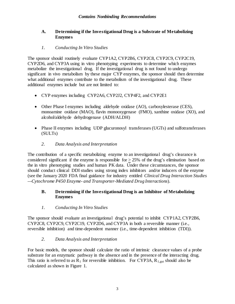# <span id="page-5-0"></span>**A. Determining if the Investigational Drug is a Substrate of Metabolizing Enzymes**

### *1. Conducting In Vitro Studies*

The sponsor should routinely evaluate CYP1A2, CYP2B6, CYP2C8, CYP2C9, CYP2C19, CYP2D6, and CYP3A using in vitro phenotyping experiments to determine which enzymes metabolize the investigational drug. If the investigational drug is not found to undergo significant in vivo metabolism by these major CYP enzymes, the sponsor should then determine what additional enzymes contribute to the metabolism of the investigational drug. These additional enzymes include but are not limited to:

- CYP enzymes including CYP2A6, CYP2J2, CYP4F2, and CYP2E1
- Other Phase I enzymes including aldehyde oxidase (AO), carboxylesterase (CES), monoamine oxidase (MAO), flavin monooxygenase (FMO), xanthine oxidase (XO), and alcohol/aldehyde dehydrogenase (ADH/ALDH)
- Phase II enzymes including UDP glucuronosyl transferases (UGTs) and sulfotransferases (SULTs)

# *2. Data Analysis and Interpretation*

The contribution of a specific metabolizing enzyme to an investigational drug's clearance is considered significant if the enzyme is responsible for  $> 25\%$  of the drug's elimination based on the in vitro phenotyping studies and human PK data. Under these circumstances, the sponsor should conduct clinical DDI studies using strong index inhibitors and/or inducers of the enzyme (see the January 2020 FDA final guidance for industry entitled *Clinical Drug Interaction Studies —Cytochrome P450 Enzyme- and Transporter-Mediated Drug Interactions*).

### <span id="page-5-1"></span>**B. Determining if the Investigational Drug is an Inhibitor of Metabolizing Enzymes**

### *1. Conducting In Vitro Studies*

The sponsor should evaluate an investigational drug's potential to inhibit CYP1A2, CYP2B6, CYP2C8, CYP2C9, CYP2C19, CYP2D6, and CYP3A in both a reversible manner (i.e., reversible inhibition) and time-dependent manner (i.e., time-dependent inhibition (TDI)).

### *2. Data Analysis and Interpretation*

For basic models, the sponsor should calculate the ratio of intrinsic clearance values of a probe substrate for an enzymatic pathway in the absence and in the presence of the interacting drug. This ratio is referred to as  $R_1$  for reversible inhibition. For CYP3A,  $R_{1, \text{gut}}$  should also be calculated as shown in Figure 1.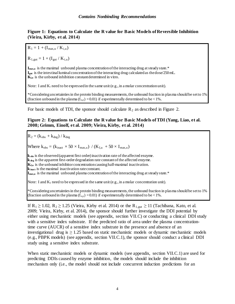**Figure 1: Equations to Calculate the R value for Basic Models of Reversible Inhibition (Vieira, Kirby, et al. 2014)**

 $R_1 = 1 + (I_{\text{max},u} / K_{i,u})$ 

 $R_{1, \text{gut}} = 1 + (I_{\text{gut}} / K_{i, u})$ 

**I<sub>max,u</sub>** is the maximal unbound plasma concentration of the interacting drug at steady state.\* **Igut** is the intestinal luminal concentration of the interacting drug calculated as the dose/250mL. **Ki,u** is the unbound inhibition constant determined in vitro.

Note: I and  $K_i$  need to be expressed in the same unit (e.g., in a molar concentration unit).

\*Considering uncertainties in the protein binding measurements, the unbound fraction in plasma should be set to 1% (fraction unbound in the plasma  $(f_{u,p}) = 0.01$ ) if experimentally determined to be < 1%.

For basic models of TDI, the sponsor should calculate  $R_2$  as described in Figure 2.

#### **Figure 2: Equations to Calculate the R value for Basic Models of TDI (Yang, Liao, et al. 2008; Grimm, Einolf, et al. 2009; Vieira, Kirby, et al. 2014)**

 $R_2 = (k_{obs} + k_{deg}) / k_{deg}$ 

Where  $k_{obs} = (k_{inact} \times 50 \times I_{max,u}) / (K_{Lu} + 50 \times I_{max,u})$ 

**k**<sub>obs</sub> is the observed (apparent first order) inactivation rate of the affected enzyme. **k**<sub>deg</sub> is the apparent first-order degradation rate constant of the affected enzyme.  $\mathbf{K}_{\mathbf{I},\mathbf{u}}$  is the unbound inhibitor concentration causing half-maximal inactivation. **k**<sub>inact</sub> is the maximal inactivation rate constant. I<sub>max,u</sub> is the maximal unbound plasma concentration of the interacting drug at steady state.\*

Note: I and  $K_1$  need to be expressed in the same unit (e.g., in a molar concentration unit).

\*Considering uncertainties in the protein binding measurements, the unbound fraction in plasma should be set to 1% (fraction unbound in the plasma  $(f_{u,p}) = 0.01$ ) if experimentally determined to be < 1%.

If  $R_1 \ge 1.02$ ,  $R_2 \ge 1.25$  (Vieira, Kirby et al. 2014) or the  $R_{1, gut} \ge 11$  (Tachibana, Kato, et al. 2009; Vieira, Kirby, et al. 2014), the sponsor should further investigate the DDI potential by either using mechanistic models (see appendix, section VII.C) or conducting a clinical DDI study with a sensitive index substrate. If the predicted ratio of area under the plasma concentrationtime curve (AUCR) of a sensitive index substrate in the presence and absence of an investigational drug is  $\geq$  1.25 based on static mechanistic models or dynamic mechanistic models (e.g., PBPK models) (see appendix, section VII.C.1), the sponsor should conduct a clinical DDI study using a sensitive index substrate.

When static mechanistic models or dynamic models (see appendix, section VII.C.1) are used for predicting DDIs caused by enzyme inhibition, the models should include the inhibition mechanism only (i.e., the model should not include concurrent induction predictions for an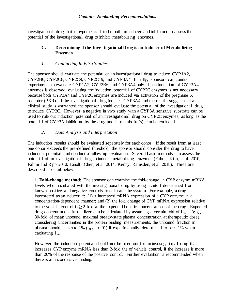investigational drug that is hypothesized to be both an inducer and inhibitor) to assess the potential of the investigational drug to inhibit metabolizing enzymes.

#### <span id="page-7-0"></span>**C. Determining if the Investigational Drug is an Inducer of Metabolizing Enzymes**

### *1. Conducting In Vitro Studies*

The sponsor should evaluate the potential of an investigational drug to induce CYP1A2, CYP2B6, CYP2C8, CYP2C9, CYP2C19, and CYP3A4. Initially, sponsors can conduct experiments to evaluate CYP1A2, CYP2B6, and CYP3A4 only. If no induction of CYP3A4 enzymes is observed, evaluating the induction potential of CYP2C enzymes is not necessary because both CYP3A4 and CYP2C enzymes are induced via activation of the pregnane X receptor (PXR). If the investigational drug induces CYP3A4 and the results suggest that a clinical study is warranted, the sponsor should evaluate the potential of the investigational drug to induce CYP2C. However, a negative in vivo study with a CYP3A sensitive substrate can be used to rule out induction potential of an investigational drug on CYP2C enzymes, as long as the potential of CYP3A inhibition by the drug and its metabolite $(s)$  can be excluded.

#### *2. Data Analysis and Interpretation*

The induction results should be evaluated separately for each donor. If the result from at least one donor exceeds the pre-defined threshold, the sponsor should consider the drug to have induction potential and conduct a follow-up evaluation. Several basic methods can assess the potential of an investigational drug to induce metabolizing enzymes (Fahmi, Kish, et al. 2010; Fahmi and Ripp 2010; Einolf, Chen, et al. 2014; Kenny, Ramsden, et al. 2018). Three are described in detail below:

**1. Fold-change method:** The sponsor can examine the fold-change in CYP enzyme mRNA levels when incubated with the investigational drug by using a cutoff determined from known positive and negative controls to calibrate the system. For example, a drug is interpreted as an inducer if: (1) it increased mRNA expression of a CYP enzyme in a concentration-dependent manner; and (2) the fold change of CYP mRNA expression relative to the vehicle control is  $\geq 2$ -fold at the expected hepatic concentrations of the drug. Expected drug concentrations in the liver can be calculated by assuming a certain fold of  $I_{max,u}$  (e.g., 30-fold of mean unbound maximal steady-state plasma concentration at therapeutic dose). Considering uncertainties in the protein binding measurements, the unbound fraction in plasma should be set to 1% ( $f_{u,p} = 0.01$ ) if experimentally determined to be < 1% when cacluating  $I_{\text{max.u.}}$ 

However, the induction potential should not be ruled out for an investigational drug that increases CYP enzyme mRNA less than 2-fold the of vehicle control, if the increase is more than 20% of the response of the positive control. Further evaluation is recommended when there is an inconclusive finding.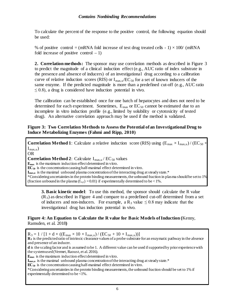To calculate the percent of the response to the positive control, the following equation should be used:

% of positive control = (mRNA fold increase of test drug treated cells - 1)  $\times$  100/ (mRNA fold increase of positive control  $-1$ )

**2. Correlation methods:** The sponsor may use correlation methods as described in Figure 3 to predict the magnitude of a clinical induction effect (e.g., AUC ratio of index substrate in the presence and absence of inducers) of an investigational drug according to a calibration curve of relative induction scores (RIS) or  $I_{max,u}/EC_{50}$  for a set of known inducers of the same enzyme. If the predicted magnitude is more than a predefined cut-off (e.g., AUC ratio  $\leq$  0.8), a drug is considered have induction potential in vivo.

The calibration can be established once for one batch of hepatocytes and does not need to be determined for each experiment. Sometimes,  $E_{\text{max}}$  or  $EC_{50}$  cannot be estimated due to an incomplete in vitro induction profile (e.g., limited by solubility or cytotoxicity of tested drug). An alternative correlation approach may be used if the method is validated.

#### **Figure 3: Two Correlation Methods to Assess the Potential of an Investigational Drug to Induce Metabolizing Enzymes (Fahmi and Ripp, 2010)**

**Correlation Method 1**: Calculate a relative induction score (RIS) using  $(E_{\text{max}} \times I_{\text{max,u}}) / (EC_{50} +$  $I_{\text{max},u}$ )

OR

**Correlation Method 2:** Calculate  $I_{\text{max,u}}$  /  $EC_{50}$  values

**Emax** is the maximum induction effectdetermined in vitro.

**EC50** is the concentration causing half-maximal effect determined in vitro.

**I**<sub>max,u</sub> is the maximal unbound plasma concentration of the interacting drug at steady state.\*

\*Considering uncertainties in the protein binding measurements, the unbound fraction in plasma should be set to 1% (fraction unbound in the plasma ( $f_{u,p}$ ) = 0.01) if experimentally determined to be < 1%.

**3. Basic kinetic model**: To use this method, the sponsor should calculate the R value  $(R<sub>3</sub>)$  as described in Figure 4 and compare to a predefined cut-off determined from a set of inducers and non-inducers. For example, a R<sub>3</sub> value  $\leq$  0.8 may indicate that the investigational drug has induction potential in vivo.

#### **Figure 4: An Equation to Calculate the R value for Basic Models of Induction (**Kenny, Ramsden, et al. 2018**)**

 $R_3 = 1 / [1 + d \times ((E_{\text{max}} \times 10 \times I_{\text{max,u}}) / (EC_{50} + 10 \times I_{\text{max,u}}))]$ **R<sub>3</sub>** is the predicted ratio of intrinsic clearance values of a probe substrate for an enzymatic pathway in the absence and presence of an inducer. **d** is the scaling factor and is assumed to be 1. A different value can be used ifsupported by prior experience with the system used (Vermet, Raoust, et al. 2016). **Emax** is the maximum induction effectdetermined in vitro. **I**<sub>maxu</sub> is the maximal unbound plasma concentration of the interacting drug at steady state.\* **EC50** is the concentration causing half-maximal effect determined in vitro. \*Considering uncertainties in the protein binding measurements, the unbound fraction should be set to 1% if experimentally determined to be <1%.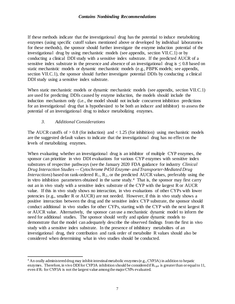If these methods indicate that the investigational drug has the potential to induce metabolizing enzymes (using specific cutoff values mentioned above or developed by individual laboratories for these methods), the sponsor should further investigate the enzyme induction potential of the investigational drug by using mechanistic models (see appendix, section VII.C.1) or by conducting a clinical DDI study with a sensitive index substrate. If the predicted AUCR of a sensitive index substrate in the presence and absence of an investigational drug is  $\leq 0.8$  based on static mechanistic models or dynamic mechanistic models (e.g., PBPK models; see appendix, section VII.C.1), the sponsor should further investigate potential DDIs by conducting a clinical DDI study using a sensitive index substrate.

When static mechanistic models or dynamic mechanistic models (see appendix, section VII.C.1) are used for predicting DDIs caused by enzyme induction, the models should include the induction mechanism only (i.e., the model should not include concurrent inhibition predictions for an investigational drug that is hypothesized to be both an inducer and inhibitor) to assess the potential of an investigational drug to induce metabolizing enzymes.

### *3. Additional Considerations*

The AUCR cutoffs of  $> 0.8$  (for induction) and  $< 1.25$  (for inhibition) using mechanistic models are the suggested default values to indicate that the investigational drug has no effect on the levels of metabolizing enzymes.

When evaluating whether an investigational drug is an inhibitor of multiple CYP enzymes, the sponsor can prioritize in vivo DDI evaluations for various CYP enzymes with sensitive index substrates of respective pathways (see the January 2020 FDA guidance for industry *Clinical Drug Interaction Studies — Cytochrome P450 Enzyme- and Transporter-Mediated Drug Interactions*) based on rank-ordered  $R_1, R_2$ , or the predicted AUCR values, preferably using the in vitro inhibition parameters obtained in the same study.<sup>[4](#page-9-0)</sup> That is, the sponsor may first carry out an in vivo study with a sensitive index substrate of the CYP with the largest R or AUCR value. If this in vivo study shows no interaction, in vivo evaluations of other CYPs with lower potencies (e.g., smaller R or AUCR) are not needed. However, if this in vivo study shows a positive interaction between the drug and the sensitive index CYP substrate, the sponsor should conduct additional in vivo studies for other CYPs, starting with the CYP with the next largest R or AUCR value. Alternatively, the sponsor can use a mechanistic dynamic model to inform the need for additional studies. The sponsor should verify and update dynamic models to demonstrate that the model can adequately describe the observed findings from the first in vivo study with a sensitive index substrate. In the presence of inhibitory metabolites of an investigational drug, their contribution and rank order of metabolite R values should also be considered when determining what in vivo studies should be conducted.

<span id="page-9-0"></span><sup>&</sup>lt;sup>4</sup> An orally administered drug may inhibit intestinal metabolic enzymes (e.g., CYP3A) in addition to hepatic enzymes. Therefore, in vivo DDI for CYP3A inhibition should be considered if R<sub>1,gut</sub> is greater than or equal to 11, even if  $R_1$  for CYP3A is not the largest value among the major CYPs evaluated.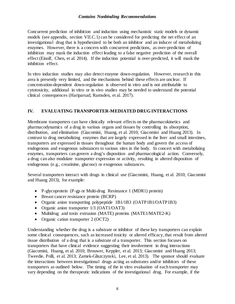Concurrent prediction of inhibition and induction using mechanistic static models or dynamic models (see appendix, section VII.C.1) can be considered for predicting the net effect of an investigational drug that is hypothesized to be both an inhibitor and an inducer of metabolizing enzymes. However, there is a concern with concurrent predictions, as over-prediction of inhibition may mask the induction effect leading to a false negative prediction of the overall effect (Einolf, Chen, et al. 2014). If the induction potential is over-predicted, it will mask the inhibition effect.

In vitro induction studies may also detect enzyme down-regulation. However, research in this area is presently very limited, and the mechanisms behind these effects are unclear. If concentration-dependent down-regulation is observed in vitro and is not attributable to cytotoxicity, additional in vitro or in vivo studies may be needed to understand the potential clinical consequences (Hariparsad, Ramsden, et al. 2017).

### <span id="page-10-0"></span>**IV. EVALUATING TRANSPORTER-MEDIATED DRUG INTERACTIONS**

Membrane transporters can have clinically relevant effects on the pharmacokinetics and pharmacodynamics of a drug in various organs and tissues by controlling its absorption, distribution, and elimination (Giacomini, Huang, et al. 2010; Giacomini and Huang 2013). In contrast to drug metabolizing enzymes that are largely expressed in the liver and small intestines, transporters are expressed in tissues throughout the human body and govern the access of endogenous and exogenous substances to various sites in the body. In concert with metabolizing enzymes, transporters can govern a drug's disposition and pharmacological action. Conversely, a drug can also modulate transporter expression or activity, resulting in altered disposition of endogenous (e.g., creatinine, glucose) or exogenous substances.

Several transporters interact with drugs in clinical use (Giacomini, Huang, et al. 2010; Giacomini and Huang 2013), for example:

- P-glycoprotein (P-gp or Multi-drug Resistance 1 (MDR1) protein)
- Breast cancer resistance protein (BCRP)
- Organic anion transporting polypeptide 1B1/1B3 (OATP1B1/OATP1B3)
- Organic anion transporter  $1/3$  (OAT1/OAT3)
- Multidrug and toxin extrusion (MATE) proteins (MATE1/MATE2-K)
- Organic cation transporter 2 (OCT2)

Understanding whether the drug is a substrate or inhibitor of these key transporters can explain some clinical consequences, such as increased toxicity or altered efficacy, that result from altered tissue distribution of a drug that is a substrate of a transporter. This section focuses on transporters that have clinical evidence suggesting their involvement in drug interactions (Giacomini, Huang, et al. 2010; Brouwer, Keppler, et al. 2013; Giacomini and Huang 2013; Tweedie, Polli, et al. 2013; Zamek-Gliszczynski, Lee, et al. 2013). The sponsor should evaluate the interactions between investigational drugs acting as substrates and/or inhibitors of these transporters as outlined below. The timing of the in vitro evaluation of each transporter may vary depending on the therapeutic indications of the investigational drug. For example, if the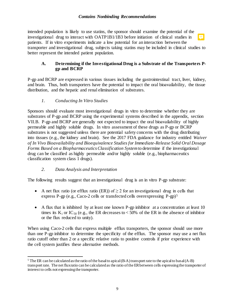intended population is likely to use statins, the sponsor should examine the potential of the investigational drug to interact with OATP1B1/1B3 before initiation of clinical studies in patients. If in vitro experiments indicate a low potential for an interaction between the transporter and investigational drug, subjects taking statins may be included in clinical studies to better represent the intended patient population.

### <span id="page-11-0"></span>**A. Determining if the Investigational Drug is a Substrate of the Transporters Pgp and BCRP**

P-gp and BCRP are expressed in various tissues including the gastrointestinal tract, liver, kidney, and brain. Thus, both transporters have the potential to impact the oral bioavailability, the tissue distribution, and the hepatic and renal elimination of substrates.

### *1. Conducting In Vitro Studies*

Sponsors should evaluate most investigational drugs in vitro to determine whether they are substrates of P-gp and BCRP using the experimental systems described in the appendix, section VII.B. P-gp and BCRP are generally not expected to impact the oral bioavailability of highly permeable and highly soluble drugs. In vitro assessment of these drugs as P-gp or BCRP substrates is not suggested unless there are potential safety concerns with the drug distributing into tissues (e.g., the kidney and brain). See the 2017 FDA guidance for industry entitled *Waiver of In Vivo Bioavailability and Bioequivalence Studies for Immediate-Release Solid Oral Dosage Forms Based on a Biopharmaceutics Classification System* to determine if the investigational drug can be classified as highly permeable and/or highly soluble (e.g., biopharmaceutics classification system class 1 drugs).

#### *2. Data Analysis and Interpretation*

The following results suggest that an investigational drug is an in vitro P-gp substrate:

- A net flux ratio (or efflux ratio (ER)) of  $\geq$  2 for an investigational drug in cells that express P-gp (e.g., Caco-2 cells or transfected cells overexpressing P-gp)<sup>[5](#page-11-1)</sup>
- A flux that is inhibited by at least one known P-gp inhibitor at a concentration at least 10 times its K<sub>i</sub> or IC<sub>50</sub> (e.g., the ER decreases to < 50% of the ER in the absence of inhibitor or the flux reduced to unity).

When using Caco-2 cells that express multiple efflux transporters, the sponsor should use more than one P-gp inhibitor to determine the specificity of the efflux. The sponsor may use a net flux ratio cutoff other than 2 or a specific relative ratio to positive controls if prior experience with the cell system justifies these alternative methods.

<span id="page-11-1"></span> $5$  The ER can be calculated as the ratio of the basal to apical (B-A) transport rate to the apical to basal (A-B) transport rate. The net flux ratio can be calculated as the ratio of the ER between cells expressing the transporter of interest to cells not expressing the transporter.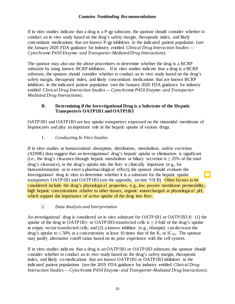If in vitro studies indicate that a drug is a P-gp substrate, the sponsor should consider whether to conduct an in vivo study based on the drug's safety margin, therapeutic index, and likely concomitant medications that are known P-gp inhibitors in the indicated patient population (see the January 2020 FDA guidance for industry entitled *Clinical Drug Interaction Studies — Cytochrome P450 Enzyme- and Transporter-Mediated Drug Interactions*).

The sponsor may also use the above procedures to determine whether the drug is a BCRP substrate by using known BCRP inhibitors. If in vitro studies indicate that a drug is a BCRP substrate, the sponsor should consider whether to conduct an in vivo study based on the drug's safety margin, therapeutic index, and likely concomitant medications that are known BCRP inhibitors in the indicated patient population (see the January 2020 FDA guidance for industry entitled *Clinical Drug Interaction Studies — Cytochrome P450 Enzyme- and Transporter-Mediated Drug Interactions*).

#### <span id="page-12-0"></span>**B. Determining if the Investigational Drug is a Substrate of the Hepatic Transporters OATP1B1 and OATP1B3**

OATP1B1 and OATP1B3 are key uptake transporters expressed on the sinusoidal membrane of hepatocytes and play an important role in the hepatic uptake of various drugs.

# *1. Conducting In Vitro Studies*

If in vitro studies or human/animal absorption, distribution, metabolism, and/or excretion (ADME) data suggest that an investigational drug's hepatic uptake or elimination is significant (i.e., the drug's clearance through hepatic metabolism or biliary secretion is  $\geq$  25% of the total drug's clearance), or the drug's uptake into the liver is clinically important (e.g., for biotransformation or to exert a pharmacological effect), the sponsor should evaluate the investigational drug in vitro to determine whether it is a substrate for the hepatic uptake E transporters OATP1B1 and OATP1B3 (see the appendix, section VII.B). Other factors to be considered include the drug's physiological properties, e.g., low passive membrane permeability, high hepatic concentrations relative to other tissues, organic anion/charged at physiological pH, which support the importance of active uptake of the drug into liver.

### *2. Data Analysis and Interpretation*

An investigational drug is considered an in vitro substrate for OATP1B1 or OATP1B3 if: (1) the uptake of the drug in OATP1B1- or OATP1B3-transfected cells is  $>$  2-fold of the drug's uptake in empty vector-transfected cells; and (2) a known inhibitor (e.g., rifampin) can decrease the drug's uptake to  $\leq 50\%$  at a concentration at least 10 times that of the K<sub>i</sub> or IC<sub>50</sub>. The sponsor may justify alternative cutoff ratios based on its prior experience with the cell system.

If in vitro studies indicate that a drug is an OATP1B1 or OATP1B3 substrate, the sponsor should consider whether to conduct an in vivo study based on the drug's safety margin, therapeutic index, and likely co-medications that are known OATP1B1 or OATP1B3 inhibitors in the indicated patient populations (see the 2019 FDA guidance for industry entitled *Clinical Drug Interaction Studies — Cytochrome P450 Enzyme- and Transporter-Mediated Drug Interactions*).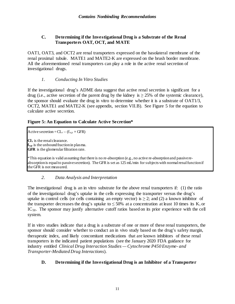# <span id="page-13-0"></span>**C. Determining if the Investigational Drug is a Substrate of the Renal Transporters OAT, OCT, and MATE**

OAT1, OAT3, and OCT2 are renal transporters expressed on the basolateral membrane of the renal proximal tubule. MATE1 and MATE2-K are expressed on the brush border membrane. All the aforementioned renal transporters can play a role in the active renal secretion of investigational drugs.

# *1. Conducting In Vitro Studies*

If the investigational drug's ADME data suggest that active renal secretion is significant for a drug (i.e., active secretion of the parent drug by the kidney is  $\geq$  25% of the systemic clearance), the sponsor should evaluate the drug in vitro to determine whether it is a substrate of OAT1/3, OCT2, MATE1 and MATE2-K (see appendix, section VII.B). See Figure 5 for the equation to calculate active secretion.

# **Figure 5: An Equation to Calculate Active Secretion\***

Active secretion =  $CL_r - (f_{u,p} \times GFR)$ 

 $Cl<sub>r</sub>$  is the renal clearance. **fu,p** is the unbound fraction in plasma. **GFR** is the glomerular filtration rate.

\*This equation is valid assuming that there is no re-absorption (e.g., no active re-absorption and passive reabsorption is equal to passive secretion). The GFR is set as 125 mL/min for subjects with normal renal function if the GFR is not measured.

# *2. Data Analysis and Interpretation*

The investigational drug is an in vitro substrate for the above renal transporters if: (1) the ratio of the investigational drug's uptake in the cells expressing the transporter versus the drug's uptake in control cells (or cells containing an empty vector) is  $\geq 2$ ; and (2) a known inhibitor of the transporter decreases the drug's uptake to  $\leq 50\%$  at a concentration at least 10 times its K<sub>i</sub> or  $IC_{50}$ . The sponsor may justify alternative cutoff ratios based on its prior experience with the cell system.

If in vitro studies indicate that a drug is a substrate of one or more of these renal transporters, the sponsor should consider whether to conduct an in vivo study based on the drug's safety margin, therapeutic index, and likely concomitant medications that are known inhibitors of these renal transporters in the indicated patient populations (see the January 2020 FDA guidance for industry entitled *Clinical Drug Interaction Studies — Cytochrome P450 Enzyme- and Transporter-Mediated Drug Interactions*).

# <span id="page-13-1"></span>**D. Determining if the Investigational Drug is an Inhibitor of a Transporter**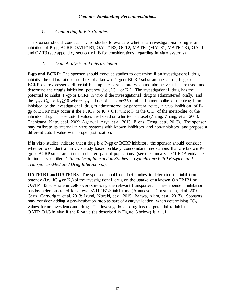# *1. Conducting In Vitro Studies*

The sponsor should conduct in vitro studies to evaluate whether an investigational drug is an inhibitor of P-gp, BCRP, OATP1B1, OATP1B3, OCT2, MATEs (MATE1, MATE2-K), OAT1, and OAT3 (see appendix, section VII.B for considerations regarding in vitro systems).

# *2. Data Analysis and Interpretation*

**P-gp and BCRP**: The sponsor should conduct studies to determine if an investigational drug inhibits the efflux ratio or net flux of a known P-gp or BCRP substrate in Caco-2, P-gp- or BCRP-overexpressed cells or inhibits uptake of substrate when membrane vesicles are used, and determine the drug's inhibition potency (i.e.,  $IC_{50}$  or  $K_i$ ). The investigational drug has the potential to inhibit P-gp or BCRP in vivo if the investigational drug is administered orally, and the I<sub>gut</sub> /IC<sub>50</sub> or K<sub>i</sub> ≥10 where I<sub>gut</sub> = dose of inhibitor/250 mL. If a metabolite of the drug is an inhibitor or the investigational drug is administered by parenteral route, in vivo inhibition of Pgp or BCRP may occur if the  $I_1/IC_{50}$  or  $K_i \ge 0.1$ , where  $I_1$  is the  $C_{\text{max}}$  of the metabolite or the inhibitor drug. These cutoff values are based on a limited dataset (Zhang, Zhang, et al. 2008; Tachibana, Kato, et al. 2009; Agarwal, Arya, et al. 2013; Ellens, Deng, et al. 2013). The sponsor may calibrate its internal in vitro systems with known inhibitors and non-inhibitors and propose a different cutoff value with proper justification.

If in vitro studies indicate that a drug is a P-gp or BCRP inhibitor, the sponsor should consider whether to conduct an in vivo study based on likely concomitant medications that are known Pgp or BCRP substrates in the indicated patient populations (see the January 2020 FDA guidance for industry entitled *Clinical Drug Interaction Studies — Cytochrome P450 Enzyme- and Transporter-Mediated Drug Interactions)*.

**OATP1B1** and **OATP1B3**: The sponsor should conduct studies to determine the inhibition potency (i.e.,  $IC_{50}$  or  $K_i$ ) of the investigational drug on the uptake of a known OATP1B1 or OATP1B3 substrate in cells overexpressing the relevant transporter. Time-dependent inhibition has been demonstrated for a few OATP1B1/3 inhibitors (Amundsen, Christensen, et al. 2010; Gertz, Cartwright, et al. 2013; Izumi, Nozaki, et al. 2015; Pahwa, Alam, et al. 2017). Sponsors may consider adding a pre-incubation step as part of assay validation when determining  $IC_{50}$ values for an investigational drug. The investigational drug has the potential to inhibit OATP1B1/3 in vivo if the R value (as described in Figure 6 below) is  $> 1.1$ .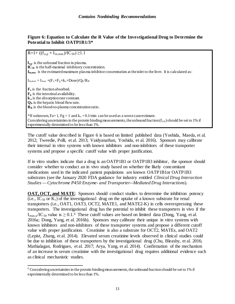#### **Figure 6: Equation to Calculate the R Value of the Investigational Drug to Determine the Potential to Inhibit OATP1B1/3\***

 $R=1+ ((f_{u,p} \times I_{in,max})/IC_{50}) \geq 1.1$ 

**fu,p** is the unbound fraction in plasma. **IC**<sub>50</sub> is the half-maximal inhibitory concentration. **Iin,max** is the estimated maximum plasma inhibitor concentration at the inlet to the liver. It is calculated as:

 $I_{in,max} = I_{max} + (F_a \times F_g \times k_a \times Dose)/Q_h/R_B$ 

**Fa** is the fraction absorbed.  $\mathbf{F}_{g}$  is the intestinal availability. **ka** is the absorption rate constant. **Qh** is the hepatic blood flow rate. **RB** is the blood-to-plasma concentration ratio. \*If unknown, Fa= 1, Fg = 1 and  $k_a = 0.1/\text{min}$  can be used as a worst-case estimate. Considering uncertainties in the protein binding measurements, the unbound fraction  $(f_{u,p})$  should be set to 1% if experimentally determined to be less than 1%.

The cutoff value described in Figure 6 is based on limited published data (Yoshida, Maeda, et al. 2012; Tweedie, Polli, et al. 2013; Vaidyanathan, Yoshida, et al. 2016). Sponsors may calibrate their internal in vitro systems with known inhibitors and non-inhibitors of these transporter systems and propose a specific cutoff value with proper justification.

If in vitro studies indicate that a drug is an OATP1B1 or OATP1B3 inhibitor, the sponsor should consider whether to conduct an in vivo study based on whether the likely concomitant medications used in the indicated patient populations are known OATP1B1or OATP1B3 substrates (see the January 2020 FDA guidance for industry entitled *Clinical Drug Interaction Studies — Cytochrome P450 Enzyme- and Transporter--Mediated Drug Interactions*).

**OAT, OCT, and MATE**: Sponsors should conduct studies to determine the inhibition potency (i.e.,  $IC_{50}$  or  $K_i$ ) of the investigational drug on the uptake of a known substrate for renal transporters (i.e., OAT1, OAT3, OCT2, MATE1, and MATE2-K) in cells overexpressing these transporters. The investigational drug has the potential to inhibit these transporters in vivo if the  $I_{\text{max},u}/IC_{50}$  value is  $\geq 0.1$ .<sup>6</sup> These cutoff values are based on limited data (Dong, Yang, et al. 2016a; Dong, Yang, et al. 2016b). Sponsors may calibrate their unique in vitro systems with known inhibitors and non-inhibitors of these transporter systems and propose a different cutoff value with proper justification. Creatinine is also a substrate for OCT2, MATEs, and OAT2 (Lepist, Zhang, et al. 2014). Elevated serum creatinine levels observed in clinical studies could be due to inhibition of these transporters by the investigational drug (Chu, Bleasby, et al. 2016; Mathialagan, Rodrigues, et al. 2017; Arya, Yang, et al. 2014). Confirmation of the mechanism of an increase in serum creatinine with the investigational drug requires additional evidence such as clinical mechanistic studies.

<span id="page-15-0"></span> $6$  Considering uncertainties in the protein binding measurements, the unbound fraction should be set to 1% if experimentally determined to be less than 1%.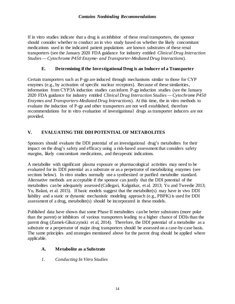If in vitro studies indicate that a drug is an inhibitor of these renal transporters, the sponsor should consider whether to conduct an in vivo study based on whether the likely concomitant medications used in the indicated patient populations are known substrates of these renal transporters (see the January 2020 FDA guidance for industry entitled *Clinical Drug Interaction Studies — Cytochrome P450 Enzyme- and Transporter-Mediated Drug Interactions*).

# **E. Determining if the Investigational Drug is an Inducer of a Transporter**

<span id="page-16-0"></span>Certain transporters such as P-gp are induced through mechanisms similar to those for CYP enzymes (e.g., by activation of specific nuclear receptors). Because of these similarities, information from CYP3A induction studies can inform P-gp induction studies (see the January 2020 FDA guidance for industry entitled *Clinical Drug Interaction Studies — Cytochrome P450 Enzymes and Transporters-Mediated Drug Interactions*). At this time, the in vitro methods to evaluate the induction of P-gp and other transporters are not well established, therefore recommendations for in vitro evaluation of investigational drugs as transporter inducers are not provided.

# <span id="page-16-1"></span>**V. EVALUATING THE DDI POTENTIAL OF METABOLITES**

Sponsors should evaluate the DDI potential of an investigational drug's metabolites for their impact on the drug's safety and efficacy using a risk-based assessment that considers safety margins, likely concomitant medications, and therapeutic indications.

A metabolite with significant plasma exposure or pharmacological activities may need to be evaluated for its DDI potential as a substrate or as a perpetrator of metabolizing enzymes (see sections below). In vitro studies normally use a synthesized or purified metabolite standard. Alternative methods are acceptable if the sponsor can justify that the DDI potential of the metabolites can be adequately assessed (Callegari, Kalgutkar, et al. 2013; Yu and Tweedie 2013; Yu, Balani, et al. 2015). If basic models suggest that the metabolite(s) may have in vivo DDI liability and a static or dynamic mechanistic modeling approach (e.g., PBPK) is used for DDI assessment of a drug, metabolite(s) should be incorporated in these models.

Published data have shown that some Phase II metabolites can be better substrates (more polar than the parent) or inhibitors of various transporters leading to a higher chance of DDIs than the parent drug (Zamek-Gliszczynski et al, 2014). Therefore, the DDI potential of a metabolite as a substrate or a perpetrator of major drug transporters should be assessed on a case-by-case basis. The same principles and strategies mentioned above for the parent drug should be applied where applicable.

# <span id="page-16-2"></span>**A. Metabolite as a Substrate**

*1. Conducting In Vitro Studies*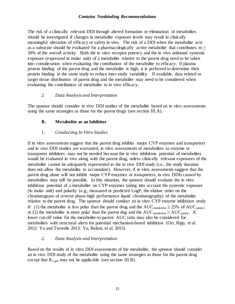The risk of a clinically relevant DDI through altered formation or elimination of metabolites should be investigated if changes in metabolite exposure levels may result in clinically meaningful alteration of efficacy or safety in vivo. The risk of a DDI when the metabolite acts as a substrate should be evaluated for a pharmacologically active metabolite that contributes to  $\geq$ 50% of the overall activity. Both the in vitro receptor potency and the in vivo unbound systemic exposure (expressed in molar unit) of a metabolite relative to the parent drug need to be taken into consideration when evaluating the contribution of the metabolite to efficacy. If plasma protein binding of the parent drug and the metabolite is high, it is preferred to determine their protein binding in the same study to reduce inter-study variability. If available, data related to target tissue distribution of parent drug and the metabolite may need to be considered when evaluating the contribution of metabolite to in vivo efficacy.

#### *2. Data Analysis and Interpretation*

The sponsor should consider in vivo DDI studies of the metabolite based on in vitro assessments using the same strategies as those for the parent drugs (see section III.A).

#### <span id="page-17-0"></span>**B. Metabolite as an Inhibitor**

#### *1. Conducting In Vitro Studies*

If in vitro assessments suggest that the parent drug inhibits major CYP enzymes and transporters and in vivo DDI studies are warranted, in vitro assessments of metabolites as enzyme or transporter inhibitors may not be needed because the in vivo inhibition potential of metabolites would be evaluated in vivo along with the parent drug, unless clinically relevant exposures of the metabolite cannot be adequately represented in the in vivo DDI study (i.e., the study duration does not allow the metabolite to accumulate). However, if in vitro assessments suggest that the parent drug alone will not inhibit major CYP enzymes or transporters, in vivo DDIs caused by metabolites may still be possible. In this situation, the sponsor should evaluate the in vitro inhibition potential of a metabolite on CYP enzymes taking into account the systemic exposure (in molar unit) and polarity (e.g., measured or predicted LogP, the elution order on the chromatogram of reverse phase-high performance liquid chromatography) of the metabolite relative to the parent drug. The sponsor should conduct an in vitro CYP enzyme inhibition study if: (1) the metabolite is less polar than the parent drug and the  $AUC_{\text{metabolic}} \ge 25\%$  of  $AUC_{\text{parent}}$ ; or (2) the metabolite is more polar than the parent dug and the  $AUC_{\text{metabolic}} \geq AUC_{\text{parent}}$ . A lower cut-off value for the metabolite-to-parent AUC ratio may also be considered for metabolites with structural alerts for potential mechanism-based inhibition (Orr, Ripp, et al. 2012; Yu and Tweedie 2013; Yu, Balani, et al. 2015).

### *2. Data Analysis and Interpretation*

Based on the results of in vitro DDI assessments of the metabolite, the sponsor should consider an in vivo DDI study of the metabolite using the same strategies as those for the parent drug except that  $R_{1, \text{gut}}$  may not be applicable (see section III.B).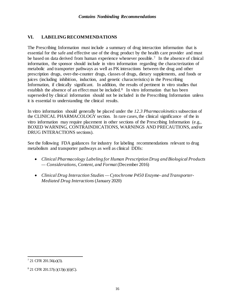# <span id="page-18-0"></span>**VI. LABELING RECOMMENDATIONS**

The Prescribing Information must include a summary of drug interaction information that is essential for the safe and effective use of the drug product by the health care provider and must be based on data derived from human experience whenever possible.<sup>7</sup> In the absence of clinical information, the sponsor should include in vitro information regarding the characterization of metabolic and transporter pathways as well as PK interactions between the drug and other prescription drugs, over-the-counter drugs, classes of drugs, dietary supplements, and foods or juices (including inhibition, induction, and genetic characteristics) in the Prescribing Information, if clinically significant. In addition, the results of pertinent in vitro studies that establish the absence of an effect must be included.<sup>[8](#page-18-2)</sup> In vitro information that has been superseded by clinical information should not be included in the Prescribing Information unless it is essential to understanding the clinical results.

In vitro information should generally be placed under the *12.3 Pharmacokinetics* subsection of the CLINICAL PHARMACOLOGY section. In rare cases, the clinical significance of the in vitro information may require placement in other sections of the Prescribing Information (e.g., BOXED WARNING, CONTRAINDICATIONS, WARNINGS AND PRECAUTIONS, and/or DRUG INTERACTIONS sections).

See the following FDA guidances for industry for labeling recommendations relevant to drug metabolism and transporter pathways as well as clinical DDIs:

- *Clinical Pharmacology Labeling for Human Prescription Drug and Biological Products — Considerations, Content, and Format* (December 2016)
- *Clinical Drug Interaction Studies — Cytochrome P450 Enzyme- and Transporter-Mediated Drug Interactions* (January 2020)

<span id="page-18-1"></span> $7$  21 CFR 201.56(a)(3).

<span id="page-18-2"></span> $8$  21 CFR 201.57(c)(13)(c)(i)(C).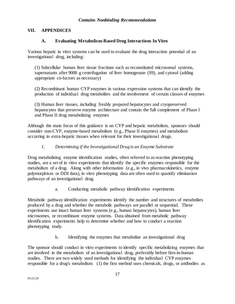#### <span id="page-19-1"></span><span id="page-19-0"></span>**VII. APPENDICES**

#### **A. Evaluating Metabolism-Based Drug Interactions In Vitro**

Various hepatic in vitro systems can be used to evaluate the drug interaction potential of an investigational drug, including:

(1) Subcellular human liver tissue fractions such as reconstituted microsomal systems, supernatants after 9000 g centrifugation of liver homogenate (S9), and cytosol (adding appropriate co-factors as necessary)

(2) Recombinant human CYP enzymes in various expression systems that can identify the production of individual drug metabolites and the involvement of certain classes of enzymes

(3) Human liver tissues, including freshly prepared hepatocytes and cryopreserved hepatocytes that preserve enzyme architecture and contain the full complement of Phase I and Phase II drug metabolizing enzymes

Although the main focus of this guidance is on CYP and hepatic metabolism, sponsors should consider non-CYP, enzyme-based metabolism (e.g., Phase II enzymes) and metabolism occurring in extra-hepatic tissues when relevant for their investigational drugs.

#### *1. Determining if the Investigational Drug is an Enzyme Substrate*

Drug metabolizing enzyme identification studies, often referred to as reaction phenotyping studies, are a set of in vitro experiments that identify the specific enzymes responsible for the metabolism of a drug. Along with other information (e.g., in vivo pharmacokinetics, enzyme polymorphism or DDI data), in vitro phenotyping data are often used to quantify elimination pathways of an investigational drug.

a. Conducting metabolic pathway identification experiments

Metabolic pathway identification experiments identify the number and structures of metabolites produced by a drug and whether the metabolic pathways are parallel or sequential. These experiments use intact human liver systems (e.g., human hepatocytes), human liver microsomes, or recombinant enzyme systems. Data obtained from metabolic pathway identification experiments help to determine whether and how to conduct a reaction phenotyping study.

b. Identifying the enzymes that metabolize an investigational drug

The sponsor should conduct in vitro experiments to identify specific metabolizing enzymes that are involved in the metabolism of an investigational drug, preferably before first-in-human studies. There are two widely used methods for identifying the individual CYP enzymes responsible for a drug's metabolism: (1) the first method uses chemicals, drugs, or antibodies as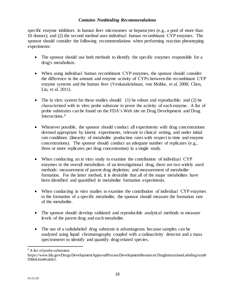specific enzyme inhibitors in human liver microsomes or hepatocytes (e.g., a pool of more than 10 donors); and (2) the second method uses individual human recombinant CYP enzymes. The sponsor should consider the following recommendations when performing reaction phenotyping experiments:

- The sponsor should use both methods to identify the specific enzymes responsible for a drug's metabolism.
- When using individual human recombinant CYP enzymes, the sponsor should consider the difference in the amount and enzyme activity of CYPs between the recombinant CYP enzyme systems and the human liver (Venkatakrishnan, von Moltke, et al. 2000; Chen, Liu, et al. 2011).
- The in vitro system for these studies should: (1) be robust and reproducible; and (2) be characterized with in vitro probe substrate to prove the activity of each enzyme. A list of probe substrates can be found on the FDA's Web site on Drug Development and Drug Interactions.[9](#page-20-0)
- Whenever possible, the sponsor should conduct all experiments with drug concentrations deemed appropriate by kinetic experiments, relevant to clinical setting, and under initial rate conditions (linearity of metabolite production rates with respect to time and enzyme concentrations). The sponsor should conduct an adequate number of replicates (e.g., three or more replicates per drug concentration) in a single study.
- When conducting an in vitro study to examine the contribution of individual CYP enzymes to the overall metabolism of an investigational drug, there are two widely used methods: measurement of parent drug depletion; and measurement of metabolite formation. For the latter method, it is desirable that all of the major metabolites have been identified and quantified in metabolite formation experiments.
- When conducting in vitro studies to examine the contribution of individual CYP enzymes to the formation of a specific metabolite, the sponsor should measure the formation rate of the metabolite.
- The sponsor should develop validated and reproducible analytical methods to measure levels of the parent drug and each metabolite.
- The use of a radiolabeled drug substrate is advantageous because samples can be analyzed using liquid chromatography coupled with a radioactivity detector and a mass spectrometer to identify and quantify drug-related species.

<span id="page-20-0"></span><sup>&</sup>lt;sup>9</sup> A list of probe substrates:

https://www.fda.gov/Drugs/DevelopmentApprovalProcess/DevelopmentResources/DrugInteractionsLabeling/ucm0 93664.htm#table1.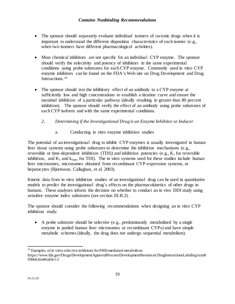- The sponsor should separately evaluate individual isomers of racemic drugs when it is important to understand the different disposition characteristics of each isomer (e.g., when two isomers have different pharmacological activities).
- Most chemical inhibitors are not specific for an individual CYP enzyme. The sponsor should verify the selectivity and potency of inhibitors in the same experimental conditions using probe substrates for each CYP enzyme. Commonly used in vitro CYP enzyme inhibitors can be found on the FDA's Web site on Drug Development and Drug Interactions.[10](#page-21-0)
- The sponsor should test the inhibitory effect of an antibody to a CYP enzyme at sufficiently low and high concentrations to establish a titration curve and ensure the maximal inhibition of a particular pathway (ideally resulting in greater than 80 percent inhibition). The sponsor should verify the effect of an antibody using probe substrates of each CYP isoform and with the same experimental conditions.
	- *2. Determining if the Investigational Drug is an Enzyme Inhibitor or Inducer*
		- a. Conducting in vitro enzyme inhibition studies

The potential of an investigational drug to inhibit CYP enzymes is usually investigated in human liver tissue systems using probe substrates to determine the inhibition mechanisms (e.g., reversible or time-dependent inhibition (TDI)) and inhibition potencies (e.g.,  $K_i$  for reversible inhibition, and  $K_I$  and  $k_{\text{inact}}$  for TDI). The in vitro systems used for these studies include human liver microsomes, microsomes obtained from recombinant CYP-expression systems, or hepatocytes (Bjornsson, Callaghan, et al. 2003).

Kinetic data from in vitro inhibition studies of an investigational drug can be used in quantitative models to predict the investigational drug's effects on the pharmacokinetics of other drugs in humans. These analyses inform the decision on whether to conduct an in vivo DDI study using sensitive enzyme index substrates (see section III.B.2).

The sponsor should consider the following recommendations when designing an in vitro CYP inhibition study:

• A probe substrate should be selective (e.g., predominantly metabolized by a single enzyme in pooled human liver microsomes or recombinant CYPs) and have simple metabolic schemes (ideally, the drug does not undergo sequential metabolism).

<span id="page-21-0"></span> $10$  Examples of in vitro selective inhibitors for P450-mediated metabolism:

https://www.fda.gov/Drugs/DevelopmentApprovalProcess/DevelopmentResources/DrugInteractionsLabeling/ucm0 93664.htm#table1-2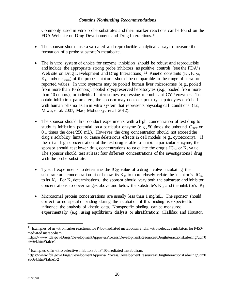Commonly used in vitro probe substrates and their marker reactions can be found on the FDA Web site on Drug Development and Drug Interactions.<sup>[11](#page-22-0)</sup>

- The sponsor should use a validated and reproducible analytical assay to measure the formation of a probe substrate's metabolite.
- The in vitro system of choice for enzyme inhibition should be robust and reproducible and include the appropriate strong probe inhibitors as positive controls (see the FDA's Web site on Drug Development and Drug Interactions).<sup>[12](#page-22-1)</sup> Kinetic constants (K<sub>i</sub>, IC<sub>50</sub>,  $K_I$ , and/or  $k_{\text{inact}}$ ) of the probe inhibitors should be comparable to the range of literaturereported values. In vitro systems may be pooled human liver microsomes (e.g., pooled from more than 10 donors), pooled cryopreserved hepatocytes (e.g., pooled from more than 10 donors), or individual microsomes expressing recombinant CYP enzymes. To obtain inhibition parameters, the sponsor may consider primary hepatocytes enriched with human plasma as an in vitro system that represents physiological conditions (Lu, Miwa, et al. 2007; Mao, Mohutsky, et al. 2012).
- The sponsor should first conduct experiments with a high concentration of test drug to study its inhibition potential on a particular enzyme (e.g., 50 times the unbound  $C_{\text{max}}$  or 0.1 times the dose/250 mL). However, the drug concentration should not exceed the drug's solubility limits or cause deleterious effects in cell models (e.g., cytotoxicity). If the initial high concentration of the test drug is able to inhibit a particular enzyme, the sponsor should test lower drug concentrations to calculate the drug's  $IC_{50}$  or  $K_i$  value. The sponsor should test at least four different concentrations of the investigational drug with the probe substrate.
- Typical experiments to determine the  $IC_{50}$  value of a drug involve incubating the substrate at a concentration at or below its  $K_m$  to more closely relate the inhibitor's IC<sub>50</sub> to its  $K_i$ . For  $K_i$  determinations, the sponsor should vary both the substrate and inhibitor concentrations to cover ranges above and below the substrate's  $K_m$  and the inhibitor's  $K_i$ .
- Microsomal protein concentrations are usually less than 1 mg/mL. The sponsor should correct for nonspecific binding during the incubation if this binding is expected to influence the analysis of kinetic data. Nonspecific binding can be measured experimentally (e.g., using equilibrium dialysis or ultrafiltration) (Hallifax and Houston

<span id="page-22-0"></span> $11$  Examples of in vitro marker reactions for P450-mediated metabolism and in vitro selective inhibitors for P450mediated metabolism:

https://www.fda.gov/Drugs/DevelopmentApprovalProcess/DevelopmentResources/DrugInteractionsLabeling/ucm0 93664.htm#table1

<span id="page-22-1"></span><sup>&</sup>lt;sup>12</sup> Examples of in vitro selective inhibitors for P450-mediated metabolism:

https://www.fda.gov/Drugs/DevelopmentApprovalProcess/DevelopmentResources/DrugInteractionsLabeling/ucm0 93664.htm#table1-2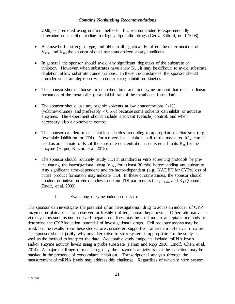2006) or predicted using in silico methods. It is recommended to experimentally determine nonspecific binding for highly lipophilic drugs (Gertz, Kilford, et al. 2008).

- Because buffer strength, type, and pH can all significantly affect the determination of  $V_{\text{max}}$  and  $K_{\text{m}}$ , the sponsor should use standardized assay conditions.
- In general, the sponsor should avoid any significant depletion of the substrate or inhibitor. However, when substrates have a low  $K_m$ , it may be difficult to avoid substrate depletion at low substrate concentrations. In these circumstances, the sponsor should consider substrate depletion when determining inhibition kinetics.
- The sponsor should choose an incubation time and an enzyme amount that result in linear formation of the metabolite (at an initial rate of the metabolite formation).
- The sponsor should use any organic solvents at low concentrations  $\langle \langle 1 \rangle$ (volume/volume) and preferably  $< 0.5\%$ ) because some solvents can inhibit or activate enzymes. The experiment should include a solvent (vehicle) control, and when necessary, also a no-solvent control.
- The sponsor can determine inhibition kinetics according to appropriate mechanisms (e.g., reversible inhibition or TDI). For a reversible inhibitor, half of the measured  $IC_{50}$  can be used as an estimate of  $K_i$ , if the substrate concentration used is equal to its  $K_m$  for the enzyme (Haput, Kazmi, et al. 2015).
- The sponsor should routinely study TDI in standard in vitro screening protocols by preincubating the investigational drug (e.g., for at least 30 min) before adding any substrate. Any significant time-dependent and co-factor-dependent (e.g., NADPH for CYPs) loss of initial product formation may indicate TDI. In these circumstances, the sponsor should conduct definitive in vitro studies to obtain TDI parameters (i.e.,  $k_{\text{inact}}$  and  $K_I$ ) (Grimm, Einolf, et al. 2009).
	- b. Evaluating enzyme induction in vitro

The sponsor can investigate the potential of an investigational drug to act as an inducer of CYP enzymes in plateable, cryopreserved or freshly isolated, human hepatocytes. Other, alternative in vitro systems such as immortalized hepatic cell lines may be used and are acceptable methods to determine the CYP induction potential of investigational drugs. Cell receptor assays may be used, but the results from these studies are considered supportive rather than definitive in nature. The sponsor should justify why any alternative in vitro system is appropriate for the study as well as the method to interpret the data. Acceptable study endpoints include mRNA levels and/or enzyme activity levels using a probe substrate (Fahmi and Ripp 2010; Einolf, Chen, et al. 2014). A major challenge of measuring only the enzyme's activity is that the induction may be masked in the presence of concomitant inhibition. Transcriptional analysis through the measurement of mRNA levels may address this challenge. Regardless of which in vitro system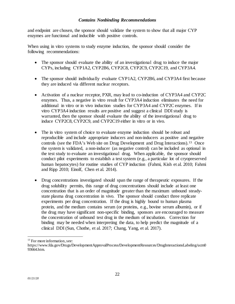and endpoint are chosen, the sponsor should validate the system to show that all major CYP enzymes are functional and inducible with positive controls.

When using in vitro systems to study enzyme induction, the sponsor should consider the following recommendations:

- The sponsor should evaluate the ability of an investigational drug to induce the major CYPs, including CYP1A2, CYP2B6, CYP2C8, CYP2C9, CYP2C19, and CYP3A4.
- The sponsor should individually evaluate CYP1A2, CYP2B6, and CYP3A4 first because they are induced via different nuclear receptors.
- Activation of a nuclear receptor, PXR, may lead to co-induction of CYP3A4 and CYP2C enzymes. Thus, a negative in vitro result for CYP3A4 induction eliminates the need for additional in vitro or in vivo induction studies for CYP3A4 and CYP2C enzymes. If in vitro CYP3A4 induction results are positive and suggest a clinical DDI study is warranted, then the sponsor should evaluate the ability of the investigational drug to induce CYP2C8, CYP2C9, and CYP2C19 either in vitro or in vivo.
- The in vitro system of choice to evaluate enzyme induction should be robust and reproducible and include appropriate inducers and non-inducers as positive and negative controls (see the FDA's Web site on Drug Development and Drug Interactions).[13](#page-24-0) Once the system is validated, a non-inducer (as negative control) can be included as optional in the test study to evaluate an investigational drug. When applicable, the sponsor should conduct pilot experiments to establish a test system (e.g., a particular lot of cryopreserved human hepatocytes) for routine studies of CYP induction (Fahmi, Kish et al. 2010; Fahmi and Ripp 2010; Einolf, Chen et al. 2014).
- Drug concentrations investigated should span the range of therapeutic exposures. If the drug solubility permits, this range of drug concentrations should include at least one concentration that is an order of magnitude greater than the maximum unbound steadystate plasma drug concentration in vivo. The sponsor should conduct three replicate experiments per drug concentration. If the drug is highly bound to human plasma protein, and the medium contains serum (or proteins, e.g., bovine serum albumin), or if the drug may have significant non-specific binding, sponsors are encouraged to measure the concentration of unbound test drug in the medium of incubation. Correction for binding may be needed when interpreting the data, to help predict the magnitude of a clinical DDI (Sun, Chothe, et al. 2017; Chang, Yang, et al. 2017).

<span id="page-24-0"></span><sup>&</sup>lt;sup>13</sup> For more information, see:

https://www.fda.gov/Drugs/DevelopmentApprovalProcess/DevelopmentResources/DrugInteractionsLabeling/ucm0 93664.htm.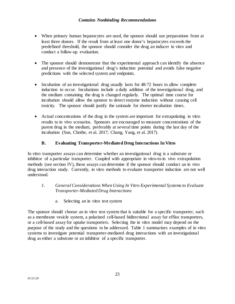- When primary human hepatocytes are used, the sponsor should use preparations from at least three donors. If the result from at least one donor's hepatocytes exceeds the predefined threshold, the sponsor should consider the drug an inducer in vitro and conduct a follow-up evaluation.
- The sponsor should demonstrate that the experimental approach can identify the absence and presence of the investigational drug's induction potential and avoids false negative predictions with the selected system and endpoints.
- Incubation of an investigational drug usually lasts for 48-72 hours to allow complete induction to occur. Incubations include a daily addition of the investigational drug, and the medium containing the drug is changed regularly. The optimal time course for incubation should allow the sponsor to detect enzyme induction without causing cell toxicity. The sponsor should justify the rationale for shorter incubation times.
- Actual concentrations of the drug in the system are important for extrapolating in vitro results to in vivo scenarios. Sponsors are encouraged to measure concentrations of the parent drug in the medium, preferably at several time points during the last day of the incubation (Sun, Chothe, et al. 2017; Chang, Yang, et al. 2017).

### **B. Evaluating Transporter-Mediated Drug Interactions In Vitro**

<span id="page-25-0"></span>In vitro transporter assays can determine whether an investigational drug is a substrate or inhibitor of a particular transporter. Coupled with appropriate in vitro-to-in vivo extrapolation methods (see section IV), these assays can determine if the sponsor should conduct an in vivo drug interaction study. Currently, in vitro methods to evaluate transporter induction are not well understood.

- *1. General Considerations When Using In Vitro Experimental Systems to Evaluate Transporter-Mediated Drug Interactions*
	- a. Selecting an in vitro test system

The sponsor should choose an in vitro test system that is suitable for a specific transporter, such as a membrane vesicle system, a polarized cell-based bidirectional assay for efflux transporters, or a cell-based assay for uptake transporters. Selecting the in vitro model may depend on the purpose of the study and the questions to be addressed. Table 1 summarizes examples of in vitro systems to investigate potential transporter-mediated drug interactions with an investigational drug as either a substrate or an inhibitor of a specific transporter.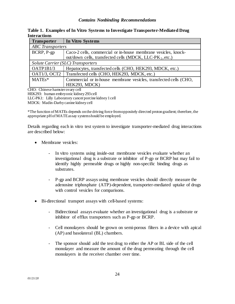| <b>Transporter</b>                | In Vitro Systems                                                     |  |
|-----------------------------------|----------------------------------------------------------------------|--|
| <b>ABC</b> Transporters           |                                                                      |  |
| BCRP, P-gp                        | Caco-2 cells, commercial or in-house membrane vesicles, knock-       |  |
|                                   | out/down cells, transfected cells (MDCK, LLC-PK <sub>1</sub> , etc.) |  |
| Solute Carrier (SLC) Transporters |                                                                      |  |
| OATP1B1/3                         | Hepatocytes, transfected cells (CHO, HEK293, MDCK, etc.)             |  |
| OAT1/3, OCT2                      | Transfected cells (CHO, HEK293, MDCK, etc.)                          |  |
| MATEs*                            | Commercial or in-house membrane vesicles, transfected cells (CHO,    |  |
|                                   | HEK293, MDCK)                                                        |  |

**Table 1. Examples of In Vitro Systems to Investigate Transporter-Mediated Drug Interactions**

CHO: Chinese hamster ovary cell

HEK293: human embryonic kidney 293 cell

LLC-PK1: Lilly Laboratory cancer porcine kidney 1 cell

MDCK: Madin-Darby canine kidneycell

\*The function of MATEs depends on the driving force from oppositely directed proton gradient; therefore, the appropriate pH of MATE assay system should be employed.

Details regarding each in vitro test system to investigate transporter-mediated drug interactions are described below:

- Membrane vesicles:
	- In vitro systems using inside-out membrane vesicles evaluate whether an investigational drug is a substrate or inhibitor of P-gp or BCRP but may fail to identify highly permeable drugs or highly non-specific binding drugs as substrates.
	- P-gp and BCRP assays using membrane vesicles should directly measure the adenosine triphosphate (ATP)-dependent, transporter-mediated uptake of drugs with control vesicles for comparisons.
- Bi-directional transport assays with cell-based systems:
	- Bidirectional assays evaluate whether an investigational drug is a substrate or inhibitor of efflux transporters such as P-gp or BCRP.
	- Cell monolayers should be grown on semi-porous filters in a device with apical (AP) and basolateral (BL) chambers.
	- The sponsor should add the test drug to either the AP or BL side of the cell monolayer and measure the amount of the drug permeating through the cell monolayers in the receiver chamber over time.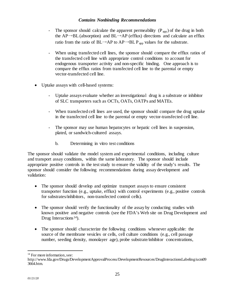- The sponsor should calculate the apparent permeability  $(P_{app})$  of the drug in both the AP $\rightarrow$ BL (absorption) and BL $\rightarrow$ AP (efflux) directions and calculate an efflux ratio from the ratio of  $BL \rightarrow AP$  to  $AP \rightarrow BL P_{\text{amp}}$  values for the substrate.
- When using transfected cell lines, the sponsor should compare the efflux ratios of the transfected cell line with appropriate control conditions to account for endogenous transporter activity and non-specific binding. One approach is to compare the efflux ratios from transfected cell line to the parental or empty vector-transfected cell line.
- Uptake assays with cell-based systems:
	- Uptake assays evaluate whether an investigational drug is a substrate or inhibitor of SLC transporters such as OCTs, OATs, OATPs and MATEs.
	- When transfected cell lines are used, the sponsor should compare the drug uptake in the transfected cell line to the parental or empty vector-transfected cell line.
	- The sponsor may use human hepatocytes or hepatic cell lines in suspension, plated, or sandwich-cultured assays.
		- b. Determining in vitro test conditions

The sponsor should validate the model system and experimental conditions, including culture and transport assay conditions, within the same laboratory. The sponsor should include appropriate positive controls in the test study to ensure the validity of the study's results. The sponsor should consider the following recommendations during assay development and validation:

- The sponsor should develop and optimize transport assays to ensure consistent transporter function (e.g., uptake, efflux) with control experiments (e.g., positive controls for substrates/inhibitors, non-transfected control cells).
- The sponsor should verify the functionality of the assay by conducting studies with known positive and negative controls (see the FDA's Web site on Drug Development and Drug Interactions<sup>[14](#page-27-0)</sup>).
- The sponsor should characterize the following conditions whenever applicable: the source of the membrane vesicles or cells, cell culture conditions (e.g., cell passage number, seeding density, monolayer age), probe substrate/inhibitor concentrations,

<span id="page-27-0"></span><sup>&</sup>lt;sup>14</sup> For more information, see:

http://www.fda.gov/Drugs/DevelopmentApprovalProcess/DevelopmentResources/DrugInteractionsLabeling/ucm09 3664.htm.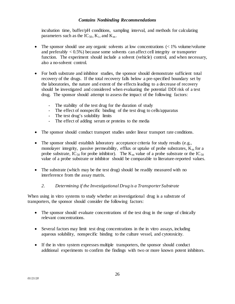incubation time, buffer/pH conditions, sampling interval, and methods for calculating parameters such as the  $IC_{50}$ ,  $K_i$ , and  $K_m$ .

- The sponsor should use any organic solvents at low concentrations  $\langle \langle 1 \rangle$  volume/volume and preferably < 0.5%) because some solvents can affect cell integrity or transporter function. The experiment should include a solvent (vehicle) control, and when necessary, also a no-solvent control.
- For both substrate and inhibitor studies, the sponsor should demonstrate sufficient total recovery of the drugs. If the total recovery falls below a pre-specified boundary set by the laboratories, the nature and extent of the effects leading to a decrease of recovery should be investigated and considered when evaluating the potential DDI risk of a test drug. The sponsor should attempt to assess the impact of the following factors:
	- The stability of the test drug for the duration of study
	- The effect of nonspecific binding of the test drug to cells/apparatus
	- The test drug's solubility limits
	- The effect of adding serum or proteins to the media
- The sponsor should conduct transport studies under linear transport rate conditions.
- The sponsor should establish laboratory acceptance criteria for study results (e.g., monolayer integrity, passive permeability, efflux or uptake of probe substrates,  $K_m$  for a probe substrate, IC<sub>50</sub> for probe inhibitor). The K<sub>m</sub> value of a probe substrate or the IC<sub>50</sub> value of a probe substrate or inhibitor should be comparable to literature-reported values.
- The substrate (which may be the test drug) should be readily measured with no interference from the assay matrix.

### *2. Determining if the Investigational Drug is a Transporter Substrate*

When using in vitro systems to study whether an investigational drug is a substrate of transporters, the sponsor should consider the following factors:

- The sponsor should evaluate concentrations of the test drug in the range of clinically relevant concentrations.
- Several factors may limit test drug concentrations in the in vitro assays, including aqueous solubility, nonspecific binding to the culture vessel, and cytotoxicity.
- If the in vitro system expresses multiple transporters, the sponsor should conduct additional experiments to confirm the findings with two or more known potent inhibitors.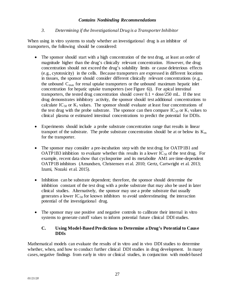#### *3. Determining if the Investigational Drug is a TransporterInhibitor*

When using in vitro systems to study whether an investigational drug is an inhibitor of transporters, the following should be considered:

- The sponsor should start with a high concentration of the test drug, at least an order of magnitude higher than the drug's clinically relevant concentration. However, the drug concentration should not exceed the drug's solubility limits or cause deleterious effects (e.g., cytotoxicity) in the cells. Because transporters are expressed in different locations in tissues, the sponsor should consider different clinically relevant concentrations (e.g., the unbound  $C_{\text{max}}$  for renal uptake transporters or the unbound maximum hepatic inlet concentration for hepatic uptake transporters (see Figure 6)). For apical intestinal transporters, the tested drug concentration should cover  $0.1 \times$  dose/250 mL. If the test drug demonstrates inhibitory activity, the sponsor should test additional concentrations to calculate IC<sub>50</sub> or K<sub>i</sub> values. The sponsor should evaluate at least four concentrations of the test drug with the probe substrate. The sponsor can then compare  $IC_{50}$  or  $K_i$  values to clinical plasma or estimated intestinal concentrations to predict the potential for DDIs.
- Experiments should include a probe substrate concentration range that results in linear transport of the substrate. The probe substrate concentration should be at or below its  $K_m$ for the transporter.
- The sponsor may consider a pre-incubation step with the test drug for OATP1B1 and OATP1B3 inhibition to evaluate whether this results in a lower  $IC_{50}$  of the test drug. For example, recent data show that cyclosporine and its metabolite AM1 are time-dependent OATP1B inhibitors (Amundsen, Christensen et al. 2010; Gertz, Cartwright et al. 2013; Izumi, Nozaki et al. 2015).
- Inhibition can be substrate dependent; therefore, the sponsor should determine the inhibition constant of the test drug with a probe substrate that may also be used in later clinical studies. Alternatively, the sponsor may use a probe substrate that usually generates a lower  $IC_{50}$  for known inhibitors to avoid underestimating the interaction potential of the investigational drug.
- The sponsor may use positive and negative controls to calibrate their internal in vitro systems to generate cutoff values to inform potential future clinical DDI studies.

### <span id="page-29-0"></span>**C. Using Model-Based Predictions to Determine a Drug's Potential to Cause DDIs**

Mathematical models can evaluate the results of in vitro and in vivo DDI studies to determine whether, when, and how to conduct further clinical DDI studies in drug development. In many cases, negative findings from early in vitro or clinical studies, in conjunction with model-based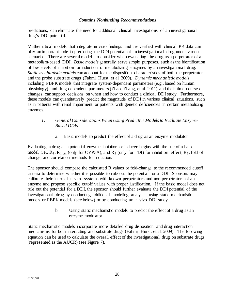predictions, can eliminate the need for additional clinical investigations of an investigational drug's DDI potential.

Mathematical models that integrate in vitro findings and are verified with clinical PK data can play an important role in predicting the DDI potential of an investigational drug under various scenarios. There are several models to consider when evaluating the drug as a perpetrator of a metabolism-based DDI. *Basic models* generally serve simple purposes, such as the identification of low levels of inhibition or induction of metabolizing enzymes by an investigational drug. *Static mechanistic models* can account for the disposition characteristics of both the perpetrator and the probe substrate drugs (Fahmi, Hurst, et al. 2009). *Dynamic mechanistic models*, including PBPK models that integrate system-dependent parameters (e.g., based on human physiology) and drug-dependent parameters (Zhao, Zhang, et al. 2011) and their time course of changes, can support decisions on when and how to conduct a clinical DDI study. Furthermore, these models can quantitatively predict the magnitude of DDI in various clinical situations, such as in patients with renal impairment or patients with genetic deficiencies in certain metabolizing enzymes.

#### *1. General Considerations When Using Predictive Models to Evaluate Enzyme-Based DDIs*

a. Basic models to predict the effect of a drug as an enzyme modulator

Evaluating a drug as a potential enzyme inhibitor or inducer begins with the use of a basic model, i.e.,  $R_1$ ,  $R_{1, gut}$  (only for CYP3A), and  $R_2$  (only for TDI) for inhibition effect;  $R_3$ , fold of change, and correlation methods for induction.

The sponsor should compare the calculated R values or fold-change to the recommended cutoff criteria to determine whether it is possible to rule out the potential for a DDI. Sponsors may calibrate their internal in vitro systems with known perpetrators and non-perpetrators of an enzyme and propose specific cutoff values with proper justification. If the basic model does not rule out the potential for a DDI, the sponsor should further evaluate the DDI potential of the investigational drug by conducting additional modeling analyses, using static mechanistic models or PBPK models (see below) or by conducting an in vivo DDI study.

> b. Using static mechanistic models to predict the effect of a drug as an enzyme modulator

Static mechanistic models incorporate more detailed drug disposition and drug interaction mechanisms for both interacting and substrate drugs (Fahmi, Hurst, et al. 2009). The following equation can be used to calculate the overall effect of the investigational drug on substrate drugs (represented as the AUCR) (see Figure 7).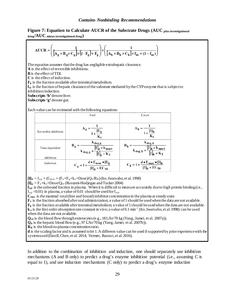# **Figure 7: Equation to Calculate AUCR of the Substrate Drugs (AUC plus investigational**

**drug/AUC minus investigational drug)**

$$
AUCR = \left(\frac{1}{\left[A_g \times B_g \times C_g\right] \times \left(1 - F_g\right) + F_g}\right) \times \left(\frac{1}{\left[A_h \times B_h \times C_h\right] \times f_m + (1 - f_m)}\right)
$$

The equation assumes that the drug has negligible extrahepatic clearance. **A** is the effect of reversible inhibitions. **B** is the effect of TDI. **C** is the effect of induction. **Fg** is the fraction available after intestinal metabolism. **fm** is the fraction of hepatic clearance of the substrate mediated by the CYP enzyme that is subject to inhibition/induction. **Subscripts 'h'** denote liver. **Subscripts 'g'** denote gut.

Each value can be estimated with the following equations:



 $[\mathbf{I}]_h = f_{u,p} \times (C_{max} + (F_a \times F_g \times k_a \times Dose) / Q_h / R_B)$  (Ito, Iwatsubo, et al. 1998)

 $[\mathbf{I}]_{\mathbf{g}} = F_a \times k_a \times \text{Dose}/Q_{en}$  (Rostami-Hodjegan and Tucker 2004)

**fu,p** is the unbound fraction in plasma. When it is difficult to measure accurately due to high protein binding (i.e.,  $f_{u,p}$  <0.01) in plasma, a value of 0.01 should be used for  $f_{u,p}$ .

**Cmax** is the maximal total (free and bound) inhibitor concentration in the plasma at steady state.

**Fa** is the fraction absorbed after oral administration; a value of 1 should be used when the data are not available. **Fg** is the fraction available after intestinal metabolism; a value of 1 should be used when the data are not available. **k**<sub>a</sub> is the first order absorption rate constant in vivo; a value of 0.1 min<sup>-1</sup> (Ito, Iwatsubo, et al. 1998) can be used when the data are not available.

**Qen** is the blood flow through enterocytes (e.g., 18 L/hr/70 kg (Yang, Jamei, et al. 2007a)).

**Qh** is the hepatic blood flow (e.g., 97 L/hr/70 kg (Yang, Jamei, et al. 2007b)).

**RB** is the blood-to-plasma concentration ratio.

**d** is the scaling factor and is assumed to be 1. A different value can be used if supported by prior experience with the system used(Einolf, Chen, et al. 2014; Vermet, Raoust, et al. 2016).

In addition to the combination of inhibition and induction, one should separately use inhibition mechanisms (A and B only) to predict a drug's enzyme inhibition potential (i.e., assuming C is equal to 1), and use induction mechanisms (C only) to predict a drug's enzyme induction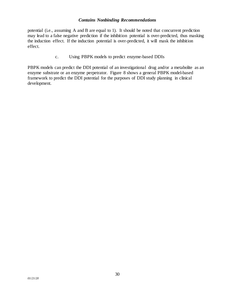potential (i.e., assuming A and B are equal to 1). It should be noted that concurrent prediction may lead to a false negative prediction if the inhibition potential is over-predicted, thus masking the induction effect. If the induction potential is over-predicted, it will mask the inhibition effect.

c. Using PBPK models to predict enzyme-based DDIs

PBPK models can predict the DDI potential of an investigational drug and/or a metabolite as an enzyme substrate or an enzyme perpetrator. Figure 8 shows a general PBPK model-based framework to predict the DDI potential for the purposes of DDI study planning in clinical development.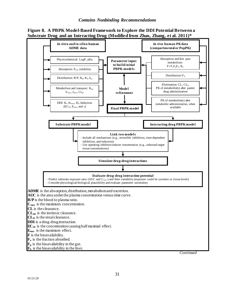

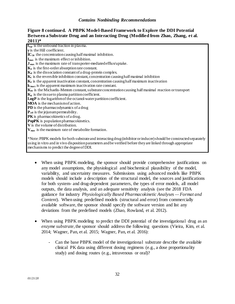#### **Figure 8 continued. A PBPK Model-Based Framework to Explore the DDI Potential Between a Substrate Drug and an Interacting Drug (Modified from Zhao, Zhang, et al. 2011)\***

**fu,p** is the unbound fraction in plasma.

γ is the Hill coefficient. **IC50** the concentration causing half maximal inhibition. **Imax** is the maximum effect or inhibition. **J max** is the maximum rate of transporter-mediated efflux/uptake. **Ka** is the first-order absorption rate constant. **Kd** is the dissociation constant of a drug-protein complex. **Ki** is the reversible inhibition constant, concentration causing half maximal inhibition  $K_I$  is the apparent inactivation constant, concentration causing half maximum inactivation **kinact** is the apparent maximum inactivation rate constant. **Km** is the Michaelis-Menten constant, substrate concentration causing half maximal reaction or transport  $\mathbf{K}_p$  is the tissue to plasma partition coefficient. LogP is the logarithm of the octanol-water partition coefficient. **MOA** is the mechanism of action. **PD** is the pharmacodynamics of a drug P<sub>eff</sub> is the jejunum permeability. **PK**is pharmacokinetics of a drug. **PopPK** is population pharmacokinetics. **V** is the volume of distribution. **Vmax** is the maximum rate of metabolite formation. \*Note: PBPK models for both substrate and interacting drug (inhibitor or inducer) should be constructed separately using in vitro and in vivo disposition parameters and be verified before they are linked through appropriate mechanisms to predict the degree of DDI.

- When using PBPK modeling, the sponsor should provide comprehensive justifications on any model assumptions, the physiological and biochemical plausibility of the model, variability, and uncertainty measures. Submissions using advanced models like PBPK models should include a description of the structural model, the sources and justifications for both system- and drug-dependent parameters, the types of error models, all model outputs, the data analysis, and an adequate sensitivity analysis (see the 2018 FDA guidance for industry *Physiologically Based Pharmacokinetic Analyses — Format and Content*). When using predefined models (structural and error) from commercially available software, the sponsor should specify the software version and list any deviations from the predefined models (Zhao, Rowland, et al. 2012).
- When using PBPK modeling to predict the DDI potential of the investigational drug as an *enzyme substrate*, the sponsor should address the following questions (Vieira, Kim, et al. 2014; Wagner, Pan, et al. 2015; Wagner, Pan, et al. 2016):
	- Can the base PBPK model of the investigational substrate describe the available clinical PK data using different dosing regimens (e.g., a dose proportionality study) and dosing routes (e.g., intravenous or oral)?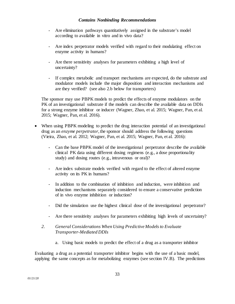- Are elimination pathways quantitatively assigned in the substrate's model according to available in vitro and in vivo data?
- Are index perpetrator models verified with regard to their modulating effect on enzyme activity in humans?
- Are there sensitivity analyses for parameters exhibiting a high level of uncertainty?
- If complex metabolic and transport mechanisms are expected, do the substrate and modulator models include the major disposition and interaction mechanisms and are they verified? (see also 2.b below for transporters)

The sponsor may use PBPK models to predict the effects of enzyme modulators on the PK of an investigational substrate if the models can describe the available data on DDIs for a strong enzyme inhibitor or inducer (Wagner, Zhao, et al. 2015; Wagner, Pan, et al. 2015; Wagner, Pan, et al. 2016).

- When using PBPK modeling to predict the drug interaction potential of an investigational drug as an *enzyme perpetrator*, the sponsor should address the following questions (Vieira, Zhao, et al. 2012; Wagner, Pan, et al. 2015; Wagner, Pan, et al. 2016):
	- Can the base PBPK model of the investigational perpetrator describe the available clinical PK data using different dosing regimens (e.g., a dose proportionality study) and dosing routes (e.g., intravenous or oral)?
	- Are index substrate models verified with regard to the effect of altered enzyme activity on its PK in humans?
	- In addition to the combination of inhibition and induction, were inhibition and induction mechanisms separately considered to ensure a conservative prediction of in vivo enzyme inhibition or induction?
	- Did the simulation use the highest clinical dose of the investigational perpetrator?
	- Are there sensitivity analyses for parameters exhibiting high levels of uncertainty?
	- *2. General Considerations When Using Predictive Models to Evaluate Transporter-Mediated DDIs*
		- a. Using basic models to predict the effect of a drug as a transporter inhibitor

Evaluating a drug as a potential transporter inhibitor begins with the use of a basic model, applying the same concepts as for metabolizing enzymes (see section IV.B). The predictions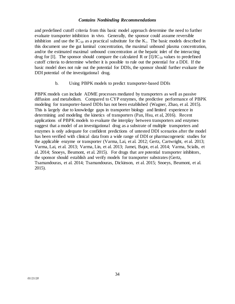and predefined cutoff criteria from this basic model approach determine the need to further evaluate transporter inhibition in vivo. Generally, the sponsor could assume reversible inhibition and use the IC<sub>50</sub> as a practical substitute for the  $K_i$ . The basic models described in this document use the gut luminal concentration, the maximal unbound plasma concentration, and/or the estimated maximal unbound concentration at the hepatic inlet of the interacting drug for [I]. The sponsor should compare the calculated R or  $\text{[I]/IC}_{50}$  values to predefined cutoff criteria to determine whether it is possible to rule out the potential for a DDI. If the basic model does not rule out the potential for DDIs, the sponsor should further evaluate the DDI potential of the investigational drug.

#### b. Using PBPK models to predict transporter-based DDIs

PBPK models can include ADME processes mediated by transporters as well as passive diffusion and metabolism. Compared to CYP enzymes, the predictive performance of PBPK modeling for transporter-based DDIs has not been established (Wagner, Zhao, et al. 2015). This is largely due to knowledge gaps in transporter biology and limited experience in determining and modeling the kinetics of transporters (Pan, Hsu, et al, 2016). Recent applications of PBPK models to evaluate the interplay between transporters and enzymes suggest that a model of an investigational drug as a substrate of multiple transporters and enzymes is only adequate for confident predictions of untested DDI scenarios after the model has been verified with clinical data from a wide range of DDI or pharmacogenetic studies for the applicable enzyme or transporter (Varma, Lai, et al. 2012; Gertz, Cartwright, et al. 2013; Varma, Lai, et al. 2013; Varma, Lin, et al. 2013; Jamei, Bajot, et al. 2014; Varma, Scialis, et al. 2014; Snoeys, Beumont, et al. 2015). For drugs that are potential transporter inhibitors, the sponsor should establish and verify models for transporter substrates (Gertz, Tsamandouras, et al. 2014; Tsamandouras, Dickinson, et al. 2015; Snoeys, Beumont, et al. 2015).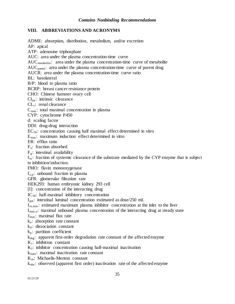#### <span id="page-37-0"></span>**VIII. ABBREVIATIONS AND ACRONYMS**

ADME: absorption, distribution, metabolism, and/or excretion AP: apical ATP: adenosine triphosphate AUC: area under the plasma concentration-time curve AUC<sub>metabolite</sub>: area under the plasma concentration-time curve of metabolite AUC<sub>parent</sub>: area under the plasma concentration-time curve of parent drug AUCR: area under the plasma concentration-time curve ratio BL: basolateral B/P: blood to plasma ratio BCRP: breast cancer resistance protein CHO: Chinese hamster ovary cell Clint: intrinsic clearance  $CL<sub>r</sub>:$  renal clearance  $C<sub>max</sub>$ : total maximal concentration in plasma CYP: cytochrome P450 d: scaling factor DDI: drug-drug interaction  $EC_{50}$ : concentration causing half maximal effect determined in vitro  $E_{\text{max}}$ : maximum induction effect determined in vitro ER: efflux ratio Fa: fraction absorbed  $F_g$ : intestinal availability  $f_m$ : fraction of systemic clearance of the substrate mediated by the CYP enzyme that is subject to inhibition/induction. FMO: flavin monooxygenase  $f_{u,p}$ : unbound fraction in plasma GFR: glomerular filtration rate HEK293: human embryonic kidney 293 cell [I]: concentration of the interacting drug  $IC_{50}$ : half-maximal inhibitory concentration  $I_{\text{gut}}$ : intestinal luminal concentration estimated as dose/250 mL  $I_{in,max}$ : estimated maximum plasma inhibitor concentration at the inlet to the liver  $I_{\text{max},u}$ : maximal unbound plasma concentration of the interacting drug at steady state  $J_{max}$ : maximal flux rate ka: absorption rate constant  $k_d$ : dissociation constant  $k_p$ : partition coefficient  $k_{\text{dec}}$ : apparent first-order degradation rate constant of the affected enzyme  $K_i$ : inhibition constant  $K<sub>I</sub>$ : inhibitor concentration causing half-maximal inactivation  $k_{\text{inact}}$ : maximal inactivation rate constant

 $K_m$ : Michaelis-Menton constant

kobs: observed (apparent first order) inactivation rate of the affected enzyme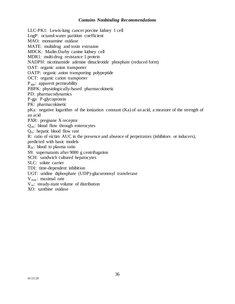LLC-PK1: Lewis-lung cancer porcine kidney 1 cell LogP: octanol-water partition coefficient MAO: monoamine oxidase MATE: multidrug and toxin extrusion MDCK: Madin-Darby canine kidney cell MDR1: multi-drug resistance 1 protein NADPH: nicotinamide adenine dinucleotide phosphate (reduced form) OAT: organic anion transporter OATP: organic anion transporting polypeptide OCT: organic cation transporter P<sub>app</sub>: apparent permeability PBPK: physiologically-based pharmacokinetic PD: pharmacodynamics P-gp: P-glycoprotein PK: pharmacokinetic pKa: negative logarithm of the ionization constant (Ka) of an acid, a measure of the strength of an acid PXR: pregnane X receptor Qen: blood flow through enterocytes  $Q_h$ : hepatic blood flow rate R: ratio of victim AUC in the presence and absence of perpetrators (inhibitors or inducers), predicted with basic models  $R_B$ : blood to plasma ratio S9: supernatants after 9000 g centrifugation SCH: sandwich cultured hepatocytes SLC: solute carrier TDI: time-dependent inhibition

UGT: uridine diphosphate (UDP)-glucuronosyl transferase

 $V_{\text{max}}$ : maximal rate

 $V_{ss}$ : steady-state volume of distribution

XO: xanthine oxidase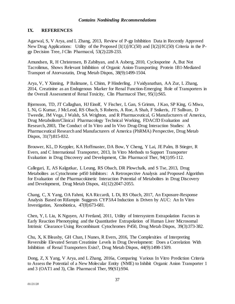#### <span id="page-39-0"></span>**IX. REFERENCES**

Agarwal, S, V Arya, and L Zhang, 2013, Review of P-gp Inhibition Data in Recently Approved New Drug Applications: Utility of the Proposed [I(1)]/IC(50) and [I(2)]/IC(50) Criteria in the Pgp Decision Tree, J Clin Pharmacol, 53(2):228-233.

Amundsen, R, H Christensen, B Zabihyan, and A Asberg, 2010, Cyclosporine A, But Not Tacrolimus, Shows Relevant Inhibition of Organic Anion-Transporting Protein 1B1-Mediated Transport of Atorvastatin, Drug Metab Dispos, 38(9):1499-1504.

Arya, V, Y Xinning, P Balimane, L Chinn, P Hinderling, J Vaidyanathan, AA Zur, L Zhang, 2014, Creatinine as an Endogenous Marker for Renal Function-Emerging Role of Transporters in the Overall Assessment of Renal Toxicity, Clin Pharmacol Ther, 95(1):S65.

Bjornsson, TD, JT Callaghan, HJ Einolf, V Fischer, L Gan, S Grimm, J Kao, SP King, G Miwa, L Ni, G Kumar, J McLeod, RS Obach, S Roberts, A Roe, A Shah, F Snikeris, JT Sullivan, D Tweedie, JM Vega, J Walsh, SA Wrighton, and R Pharmaceutical, G Manufacturers of America, Drug Metabolism/Clinical Pharmacology Technical Working, FDACfD Evaluation and Research, 2003, The Conduct of In Vitro and In Vivo Drug-Drug Interaction Studies: A Pharmaceutical Research and Manufacturers of America (PhRMA) Perspective, Drug Metab Dispos, 31(7):815-832.

Brouwer, KL, D Keppler, KA Hoffmaster, DA Bow, Y Cheng, Y Lai, JE Palm, B Stieger, R Evers, and C International Transporter, 2013, In Vitro Methods to Support Transporter Evaluation in Drug Discovery and Development, Clin Pharmacol Ther, 94(1):95-112.

Callegari, E, AS Kalgutkar, L Leung, RS Obach, DR Plowchalk, and S Tse, 2013, Drug Metabolites as Cytochrome p450 Inhibitors: A Retrospective Analysis and Proposed Algorithm for Evaluation of the Pharmacokinetic Interaction Potential of Metabolites in Drug Discovery and Development, Drug Metab Dispos, 41(12):2047-2055.

Chang, C, X Yang, OA Fahmi, KA Riccardi, L Di, RS Obach, 2017, An Exposure-Response Analysis Based on Rifampin Suggests CYP3A4 Induction is Driven by AUC: An In Vitro Investigation, Xenobiotica, 47(8):673-681.

Chen, Y, L Liu, K Nguyen, AJ Fretland, 2011, Utility of Intersystem Extrapolation Factors in Early Reaction Phenotyping and the Quantitative Extrapolation of Human Liver Microsomal Intrinsic Clearance Using Recombinant Cytochromes P450, Drug Metab Dispos, 39(3):373-382.

Chu, X, K Bleasby, GH Chan, I Nunes, R Evers, 2016, The Complexities of Interpreting Reversible Elevated Serum Creatinine Levels in Drug Development: Does a Correlation With Inhibition of Renal Transporters Exist?, Drug Metab Dispos, 44(9):1498-1509.

Dong, Z, X Yang, V Arya, and L Zhang, 2016a, Comparing Various In Vitro Prediction Criteria to Assess the Potential of a New Molecular Entity (NME) to Inhibit Organic Anion Transporter 1 and 3 (OAT1 and 3), Clin Pharmacol Ther, 99(S1):S94.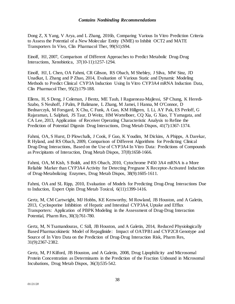Dong Z, X Yang, V Arya, and L Zhang, 2016b, Comparing Various In Vitro Prediction Criteria to Assess the Potential of a New Molecular Entity (NME) to Inhibit OCT2 and MATE Transporters In Vivo, Clin Pharmacol Ther, 99(S1):S94.

Einolf, HJ, 2007, Comparison of Different Approaches to Predict Metabolic Drug-Drug Interactions, Xenobiotica, 37(10-11):1257-1294.

Einolf, HJ, L Chen, OA Fahmi, CR Gibson, RS Obach, M Shebley, J Silva, MW Sinz, JD Unadkat, L Zhang and P Zhao, 2014, Evaluation of Various Static and Dynamic Modeling Methods to Predict Clinical CYP3A Induction Using In Vitro CYP3A4 mRNA Induction Data, Clin Pharmacol Ther, 95(2):179-188.

Ellens, H, S Deng, J Coleman, J Bentz, ME Taub, I Ragueneau-Majlessi, SP Chung, K Heredi-Szabo, S Neuhoff, J Palm, P Balimane, L Zhang, M Jamei, I Hanna, M O'Connor, D Bednarczyk, M Forsgard, X Chu, C Funk, A Guo, KM Hillgren, L Li, AY Pak, ES Perloff, G Rajaraman, L Salphati, JS Taur, D Weitz, HM Wortelboer, CQ Xia, G Xiao, T Yamagata, and CA Lee, 2013, Application of Receiver Operating Characteristic Analysis to Refine the Prediction of Potential Digoxin Drug Interactions, Drug Metab Dispos, 41(7):1367-1374.

Fahmi, OA, S Hurst, D Plowchalk, J Cook, F Guo, K Youdim, M Dickins, A Phipps, A Darekar, R Hyland, and RS Obach, 2009, Comparison of Different Algorithms for Predicting Clinical Drug-Drug Interactions, Based on the Use of CYP3A4 In Vitro Data: Predictions of Compounds as Precipitants of Interaction, Drug Metab Dispos, 37(8):1658-1666.

Fahmi, OA, M Kish, S Boldt, and RS Obach, 2010, Cytochrome P450 3A4 mRNA is a More Reliable Marker than CYP3A4 Activity for Detecting Pregnane X Receptor-Activated Induction of Drug-Metabolizing Enzymes, Drug Metab Dispos, 38(9):1605-1611.

Fahmi, OA and SL Ripp, 2010, Evaluation of Models for Predicting Drug-Drug Interactions Due to Induction, Expert Opin Drug Metab Toxicol, 6(11):1399-1416.

Gertz, M, CM Cartwright, MJ Hobbs, KE Kenworthy, M Rowland, JB Houston, and A Galetin, 2013, Cyclosporine Inhibition of Hepatic and Intestinal CYP3A4, Uptake and Efflux Transporters: Application of PBPK Modeling in the Assessment of Drug-Drug Interaction Potential, Pharm Res, 30(3):761-780.

Gertz, M, N Tsamandouras, C Säll, JB Houston, and A Galetin, 2014, Reduced Physiologically Based Pharmacokinetic Model of Repaglinide: Impact of OATPB1 and CYP2C8 Genotype and Source of In Vitro Data on the Prediction of Drug-Drug Interaction Risk, Pharm Res, 31(9):2367-2382.

Gertz, M, PJ Kilford, JB Houston, and A Galetin, 2008, Drug Lipophilicity and Microsomal Protein Concentration as Determinants in the Prediction of the Fraction Unbound in Microsomal Incubations, Drug Metab Dispos, 36(3):535-542.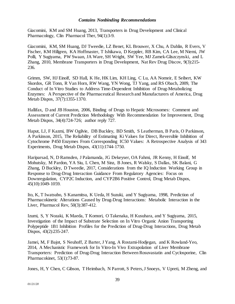Giacomini, KM and SM Huang, 2013, Transporters in Drug Development and Clinical Pharmacology, Clin Pharmacol Ther, 94(1):3-9.

Giacomini, KM, SM Huang, DJ Tweedie, LZ Benet, KL Brouwer, X Chu, A Dahlin, R Evers, V Fischer, KM Hillgren, KA Hoffmaster, T Ishikawa, D Keppler, RB Kim, CA Lee, M Niemi, JW Polli, Y Sugiyama, PW Swaan, JA Ware, SH Wright, SW Yee, MJ Zamek-Gliszczynski, and L Zhang, 2010, Membrane Transporters in Drug Development, Nat Rev Drug Discov, 9(3):215- 236.

Grimm, SW, HJ Einolf, SD Hall, K He, HK Lim, KH Ling, C Lu, AA Nomeir, E Seibert, KW Skordos, GR Tonn, R Van Horn, RW Wang, YN Wong, TJ Yang, and RS Obach, 2009, The Conduct of In Vitro Studies to Address Time-Dependent Inhibition of Drug-Metabolizing Enzymes: A Perspective of the Pharmaceutical Research and Manufacturers of America, Drug Metab Dispos, 37(7):1355-1370.

Hallifax, D and JB Houston, 2006, Binding of Drugs to Hepatic Microsomes: Comment and Assessment of Current Prediction Methodology With Recommendation for Improvement, Drug Metab Dispos, 34(4):724-726; author reply 727.

Haput, LJ, F Kazmi, BW Ogilvie, DB Buckley, BD Smith, S Leatherman, B Paris, O Parkinson, A Parkinson, 2015, The Reliability of Estimating Ki Values for Direct, Reversible Inhibition of Cytochrome P450 Enzymes From Corresponding IC50 Values: A Retrospective Analysis of 343 Experiments, Drug Metab Dispos, 43(11):1744-1750.

Hariparsad, N, D Ramsden, J Palamanda, JG Dekeyser, OA Fahmi, JR Kenny, H Einolf, M Mohutsky, M Pardon, YA Siu, L Chen, M Sinz, B Jones, R Walsky, S Dallas, SK Balani, G Zhang, D Buckley, D Tweedie, 2017, Considerations from the IQ Induction Working Group in Response to Drug-Drug Interaction Guidance From Regulatory Agencies: Focus on Downregulation, CYP2C Induction, and CYP2B6 Positive Control, Drug Metab Dispos, 45(10):1049-1059.

Ito, K, T Iwatsubo, S Kanamitsu, K Ueda, H Suzuki, and Y Sugiyama, 1998, Prediction of Pharmacokinetic Alterations Caused by Drug-Drug Interactions: Metabolic Interaction in the Liver, Pharmacol Rev, 50(3):387-412.

Izumi, S, Y Nozaki, K Maeda, T Komori, O Takenaka, H Kusuhara, and Y Sugiyama, 2015, Investigation of the Impact of Substrate Selection on In Vitro Organic Anion Transporting Polypeptide 1B1 Inhibition Profiles for the Prediction of Drug-Drug Interactions, Drug Metab Dispos, 43(2):235-247.

Jamei, M, F Bajot, S Neuhoff, Z Barter, J Yang, A Rostami-Hodjegan, and K Rowland-Yeo, 2014, A Mechanistic Framework for In Vitro-In Vivo Extrapolation of Liver Membrane Transporters: Prediction of Drug-Drug Interaction Between Rosuvastatin and Cyclosporine, Clin Pharmacokinet, 53(1):73-87.

Jones, H, Y Chen, C Gibson, T Heimbach, N Parrott, S Peters, J Snoeys, V Upreti, M Zheng, and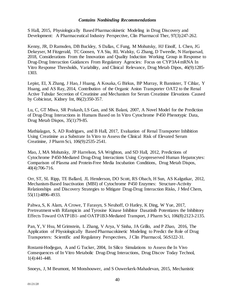S Hall, 2015, Physiologically Based Pharmacokinetic Modeling in Drug Discovery and Development: A Pharmaceutical Industry Perspective, Clin Pharmacol Ther, 97(3):247-262.

Kenny, JR, D Ramsden, DB Buckley, S Dallas, C Fung, M Mohutsky, HJ Einolf, L Chen, JG Dekeyser, M Fitzgerald, TC Goosen, YA Siu, RL Walsky, G Zhang, D Tweedie, N Hariparsad, 2018, Considerations From the Innovation and Quality Induction Working Group in Response to Drug-Drug Interaction Guidances From Regulatory Agencies: Focus on CYP3A4 mRNA In Vitro Response Thresholds, Variability, and Clinical Relevance, Drug Metab Dipos, 46(9):1285- 1303.

Lepist, EI, X Zhang, J Hao, J Huang, A Kosaka, G Birkus, BP Murray, R Bannister, T Cihlar, Y Huang, and AS Ray, 2014, Contribution of the Organic Anion Transporter OAT2 to the Renal Active Tubular Secretion of Creatinine and Mechanism for Serum Creatinine Elevations Caused by Cobicistat, Kidney Int, 86(2):350-357.

Lu, C, GT Miwa, SR Prakash, LS Gan, and SK Balani, 2007, A Novel Model for the Prediction of Drug-Drug Interactions in Humans Based on In Vitro Cytochrome P450 Phenotypic Data, Drug Metab Dispos, 35(1):79-85.

Mathialagan, S, AD Rodrigues, and B Hall, 2017, Evaluation of Renal Transporter Inhibition Using Creatinine as a Substrate In Vitro to Assess the Clinical Risk of Elevated Serum Creatinine, J Pharm Sci, 106(9):2535-2541.

Mao, J, MA Mohutsky, JP Harrelson, SA Wrighton, and SD Hall, 2012, Predictions of Cytochrome P450-Mediated Drug-Drug Interactions Using Cryopreserved Human Hepatocytes: Comparison of Plasma and Protein-Free Media Incubation Conditions, Drug Metab Dispos, 40(4):706-716.

Orr, ST, SL Ripp, TE Ballard, JL Henderson, DO Scott, RS Obach, H Sun, AS Kalgutkar, 2012, Mechanism-Based Inactivation (MBI) of Cytochrome P450 Enzymes: Structure-Activity Relationships and Discovery Strategies to Mitigate Drug-Drug Interaction Risks, J Med Chem, 55(11):4896-4933.

Pahwa, S, K Alam, A Crowe, T Farasyn, S Neuhoff, O Hatley, K Ding, W Yue, 2017, Pretreatment with Rifampicin and Tyrosine Kinase Inhibitor Dasatinib Potentiates the Inhibitory Effects Toward OATP1B1- and OATP1B3-Mediated Transport, J Pharm Sci, 106(8):2123-2135.

Pan, Y, V Hsu, M Grimstein, L Zhang, V Arya, V Sinha, JA Grillo, and P Zhao, 2016, The Application of Physiologically Based Pharmacokinetic Modeling to Predict the Role of Drug Transporters: Scientific and Regulatory Perspectives, J Clin Pharmacol, 56:S122-31.

Rostami-Hodjegan, A and G Tucker, 2004, In Silico Simulations to Assess the In Vivo Consequences of In Vitro Metabolic Drug-Drug Interactions, Drug Discov Today Technol, 1(4):441-448.

Snoeys, J, M Beumont, M Monshouwer, and S Ouwerkerk-Mahadevan, 2015, Mechanistic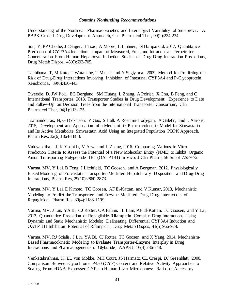Understanding of the Nonlinear Pharmacokinetics and Intersubject Variability of Simeprevir: A PBPK-Guided Drug Development Approach, Clin Pharmacol Ther, 99(2):224-234.

Sun, Y, PP Chothe, JE Sager, H Tsao, A Moore, L Laitinen, N Hariparsad, 2017, Quantitative Prediction of CYP3A4 Induction: Impact of Measured, Free, and Intracellular Perpetrator Concentration From Human Hepatocyte Induction Studies on Drug-Drug Interaction Predictions, Drug Metab Dispos, 45(6):692-705.

Tachibana, T, M Kato, T Watanabe, T Mitsui, and Y Sugiyama, 2009, Method for Predicting the Risk of Drug-Drug Interactions Involving Inhibition of Intestinal CYP3A4 and P-Glycoprotein, Xenobiotica, 39(6):430-443.

Tweedie, D, JW Polli, EG Berglund, SM Huang, L Zhang, A Poirier, X Chu, B Feng, and C International Transporter, 2013, Transporter Studies in Drug Development: Experience to Date and Follow-Up on Decision Trees from the International Transporter Consortium, Clin Pharmacol Ther, 94(1):113-125.

Tsamandouras, N, G Dickinson, Y Guo, S Hall, A Rostami-Hodjegan, A Galetin, and L Aarons, 2015, Development and Application of a Mechanistic Pharmacokinetic Model for Simvastatin and Its Active Metabolite Simvastatin Acid Using an Integrated Population PBPK Approach, Pharm Res, 32(6):1864-1883.

Vaidyanathan, J, K Yoshida, V Arya, and L Zhang, 2016. Comparing Various In Vitro Prediction Criteria to Assess the Potential of a New Molecular Entity (NME) to Inhibit Organic Anion Transporting Polypeptide 1B1 (OATP1B1) In Vivo, J Clin Pharm, 56 Suppl 7:S59-72.

Varma, MV, Y Lai, B Feng, J Litchfield, TC Goosen, and A Bergman, 2012, Physiologically Based Modeling of Pravastatin Transporter-Mediated Hepatobiliary Disposition and Drug-Drug Interactions, Pharm Res, 29(10):2860-2873.

Varma, MV, Y Lai, E Kimoto, TC Goosen, AF El-Kattan, and V Kumar, 2013, Mechanistic Modeling to Predict the Transporter- and Enzyme-Mediated Drug-Drug Interactions of Repaglinide, Pharm Res, 30(4):1188-1199.

Varma, MV, J Lin, YA Bi, CJ Rotter, OA Fahmi, JL Lam, AF El-Kattan, TC Goosen, and Y Lai, 2013, Quantitative Prediction of Repaglinide-Rifampicin Complex Drug Interactions Using Dynamic and Static Mechanistic Models: Delineating Differential CYP3A4 Induction and OATP1B1 Inhibition Potential of Rifampicin, Drug Metab Dispos, 41(5):966-974.

Varma, MV, RJ Scialis, J Lin, YA Bi, CJ Rotter, TC Goosen, and X Yang, 2014, Mechanism-Based Pharmacokinetic Modeling to Evaluate Transporter-Enzyme Interplay in Drug Interactions and Pharmacogenetics of Glyburide, AAPS J, 16(4):736-748.

Venkatakrishnan, K, LL von Moltke, MH Court, JS Harmatz, CL Crespi, DJ Greenblatt, 2000, Comparison Between Cytochrome P450 (CYP) Content and Relative Activity Approaches to Scaling From cDNA-Expressed CYPs to Human Liver Microsomes: Ratios of Accessory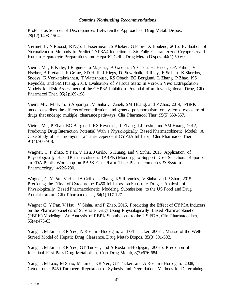Proteins as Sources of Discrepancies Between the Approaches, Drug Metab Dispos, 28(12):1493-1504.

Vermet, H, N Raoust, R Ngo, L Esserméant, S Klieber, G Fabre, X Boulenc, 2016, Evaluation of Normalization Methods to Predict CYP3A4 Induction in Six Fully Characterized Cryopreserved Human Hepatocyte Preparations and HepaRG Cells, Drug Metab Dispos, 44(1):50-60.

Vieira, ML, B Kirby, I Ragueneau-Majlessi, A Galetin, JY Chien, HJ Einolf, OA Fahmi, V Fischer, A Fretland, K Grime, SD Hall, R Higgs, D Plowchalk, R Riley, E Seibert, K Skordos, J Snoeys, K Venkatakrishnan, T Waterhouse, RS Obach, EG Berglund, L Zhang, P Zhao, KS Reynolds, and SM Huang, 2014, Evaluation of Various Static In Vitro-In Vivo Extrapolation Models for Risk Assessment of the CYP3A Inhibition Potential of an Investigational Drug, Clin Pharmacol Ther, 95(2):189-198.

Vieira MD, MJ Kim, S Apparaju , V Sinha , I Zineh, SM Huang, and P Zhao, 2014, PBPK model describes the effects of comedication and genetic polymorphism on systemic exposure of drugs that undergo multiple clearance pathways, Clin Pharmacol Ther, 95(5):550-557.

Vieira, ML, P Zhao, EG Berglund, KS Reynolds, L Zhang, LJ Lesko, and SM Huang, 2012, Predicting Drug Interaction Potential With a Physiologically Based Pharmacokinetic Model: A Case Study of Telithromycin, a Time-Dependent CYP3A Inhibitor, Clin Pharmacol Ther, 91(4):700-708.

Wagner, C, P Zhao, Y Pan, V Hsu, J Grillo, S Huang, and V Sinha, 2015, Application of Physiologically Based Pharmacokinetic (PBPK) Modeling to Support Dose Selection: Report of an FDA Public Workshop on PBPK, Clin Pharm Ther: Pharmacometrics & Systems Pharmacology, 4:226-230.

Wagner, C, Y Pan, V Hsu, JA Grillo, L Zhang, KS Reynolds, V Sinha, and P Zhao, 2015, Predicting the Effect of Cytochrome P450 Inhibitors on Substrate Drugs: Analysis of Physiologically Based Pharmacokinetic Modeling Submissions to the US Food and Drug Administration, Clin Pharmacokinet, 54(1):117-127.

Wagner C, Y Pan, V Hsu , V Sinha, and P Zhao, 2016, Predicting the Effect of CYP3A Inducers on the Pharmacokinetics of Substrate Drugs Using Physiologically Based Pharmacokinetic (PBPK) Modeling: An Analysis of PBPK Submissions to the US FDA, Clin Pharmacokinet, 55(4):475-83.

Yang, J, M Jamei, KR Yeo, A Rostami-Hodjegan, and GT Tucker, 2007a, Misuse of the Well-Stirred Model of Hepatic Drug Clearance, Drug Metab Dispos, 35(3):501-502.

Yang, J, M Jamei, KR Yeo, GT Tucker, and A Rostami-Hodjegan, 2007b, Prediction of Intestinal First-Pass Drug Metabolism, Curr Drug Metab, 8(7):676-684.

Yang, J, M Liao, M Shao, M Jamei, KR Yeo, GT Tucker, and A Rostami-Hodjegan, 2008, Cytochrome P450 Turnover: Regulation of Sythesis and Degradation, Methods for Determining